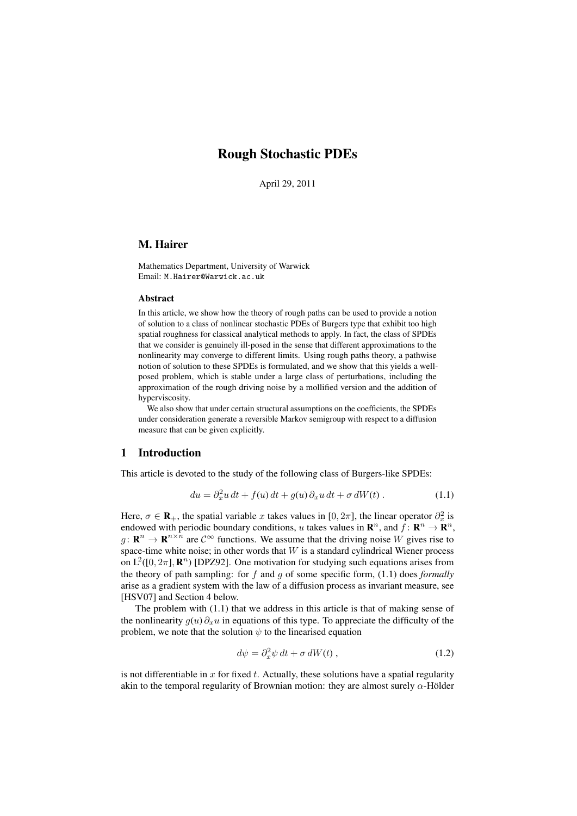# Rough Stochastic PDEs

April 29, 2011

# M. Hairer

Mathematics Department, University of Warwick Email: M.Hairer@Warwick.ac.uk

#### **Abstract**

In this article, we show how the theory of rough paths can be used to provide a notion of solution to a class of nonlinear stochastic PDEs of Burgers type that exhibit too high spatial roughness for classical analytical methods to apply. In fact, the class of SPDEs that we consider is genuinely ill-posed in the sense that different approximations to the nonlinearity may converge to different limits. Using rough paths theory, a pathwise notion of solution to these SPDEs is formulated, and we show that this yields a wellposed problem, which is stable under a large class of perturbations, including the approximation of the rough driving noise by a mollified version and the addition of hyperviscosity.

We also show that under certain structural assumptions on the coefficients, the SPDEs under consideration generate a reversible Markov semigroup with respect to a diffusion measure that can be given explicitly.

# 1 Introduction

This article is devoted to the study of the following class of Burgers-like SPDEs:

$$
du = \partial_x^2 u \, dt + f(u) \, dt + g(u) \, \partial_x u \, dt + \sigma \, dW(t) \,. \tag{1.1}
$$

Here,  $\sigma \in \mathbf{R}_+$ , the spatial variable x takes values in [0,  $2\pi$ ], the linear operator  $\partial_x^2$  is endowed with periodic boundary conditions, u takes values in  $\mathbb{R}^n$ , and  $f: \mathbb{R}^n \to \mathbb{R}^n$ ,  $g: \mathbf{R}^n \to \mathbf{R}^{n \times n}$  are  $\mathcal{C}^{\infty}$  functions. We assume that the driving noise W gives rise to space-time white noise; in other words that  $W$  is a standard cylindrical Wiener process on  $L^2([0, 2\pi], \mathbb{R}^n)$  [DPZ92]. One motivation for studying such equations arises from the theory of path sampling: for f and g of some specific form, (1.1) does *formally* arise as a gradient system with the law of a diffusion process as invariant measure, see [HSV07] and Section 4 below.

The problem with (1.1) that we address in this article is that of making sense of the nonlinearity  $g(u) \partial_x u$  in equations of this type. To appreciate the difficulty of the problem, we note that the solution  $\psi$  to the linearised equation

$$
d\psi = \partial_x^2 \psi \, dt + \sigma \, dW(t) \,, \tag{1.2}
$$

is not differentiable in  $x$  for fixed  $t$ . Actually, these solutions have a spatial regularity akin to the temporal regularity of Brownian motion: they are almost surely  $\alpha$ -Hölder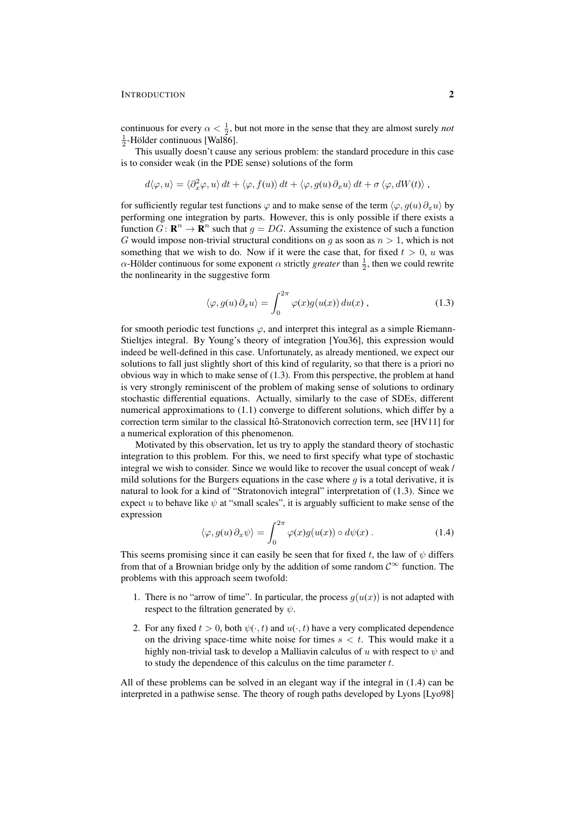continuous for every  $\alpha < \frac{1}{2}$ , but not more in the sense that they are almost surely *not*  $\frac{1}{2}$ -Hölder continuous [Wal86].

This usually doesn't cause any serious problem: the standard procedure in this case is to consider weak (in the PDE sense) solutions of the form

$$
d\langle \varphi, u \rangle = \langle \partial_x^2 \varphi, u \rangle dt + \langle \varphi, f(u) \rangle dt + \langle \varphi, g(u) \partial_x u \rangle dt + \sigma \langle \varphi, dW(t) \rangle,
$$

for sufficiently regular test functions  $\varphi$  and to make sense of the term  $\langle \varphi, g(u) \partial_x u \rangle$  by performing one integration by parts. However, this is only possible if there exists a function  $G: \mathbf{R}^n \to \mathbf{R}^n$  such that  $g = DG$ . Assuming the existence of such a function G would impose non-trivial structural conditions on g as soon as  $n > 1$ , which is not something that we wish to do. Now if it were the case that, for fixed  $t > 0$ , u was  $\alpha$ -Hölder continuous for some exponent  $\alpha$  strictly *greater* than  $\frac{1}{2}$ , then we could rewrite the nonlinearity in the suggestive form

$$
\langle \varphi, g(u) \, \partial_x u \rangle = \int_0^{2\pi} \varphi(x) g(u(x)) \, du(x) \,, \tag{1.3}
$$

for smooth periodic test functions  $\varphi$ , and interpret this integral as a simple Riemann-Stieltjes integral. By Young's theory of integration [You36], this expression would indeed be well-defined in this case. Unfortunately, as already mentioned, we expect our solutions to fall just slightly short of this kind of regularity, so that there is a priori no obvious way in which to make sense of (1.3). From this perspective, the problem at hand is very strongly reminiscent of the problem of making sense of solutions to ordinary stochastic differential equations. Actually, similarly to the case of SDEs, different numerical approximations to (1.1) converge to different solutions, which differ by a correction term similar to the classical Itô-Stratonovich correction term, see [HV11] for a numerical exploration of this phenomenon.

Motivated by this observation, let us try to apply the standard theory of stochastic integration to this problem. For this, we need to first specify what type of stochastic integral we wish to consider. Since we would like to recover the usual concept of weak / mild solutions for the Burgers equations in the case where  $g$  is a total derivative, it is natural to look for a kind of "Stratonovich integral" interpretation of (1.3). Since we expect u to behave like  $\psi$  at "small scales", it is arguably sufficient to make sense of the expression

$$
\langle \varphi, g(u) \, \partial_x \psi \rangle = \int_0^{2\pi} \varphi(x) g(u(x)) \circ d\psi(x) . \tag{1.4}
$$

This seems promising since it can easily be seen that for fixed t, the law of  $\psi$  differs from that of a Brownian bridge only by the addition of some random  $\mathcal{C}^{\infty}$  function. The problems with this approach seem twofold:

- 1. There is no "arrow of time". In particular, the process  $q(u(x))$  is not adapted with respect to the filtration generated by  $\psi$ .
- 2. For any fixed  $t > 0$ , both  $\psi(\cdot, t)$  and  $u(\cdot, t)$  have a very complicated dependence on the driving space-time white noise for times  $s < t$ . This would make it a highly non-trivial task to develop a Malliavin calculus of u with respect to  $\psi$  and to study the dependence of this calculus on the time parameter t.

All of these problems can be solved in an elegant way if the integral in (1.4) can be interpreted in a pathwise sense. The theory of rough paths developed by Lyons [Lyo98]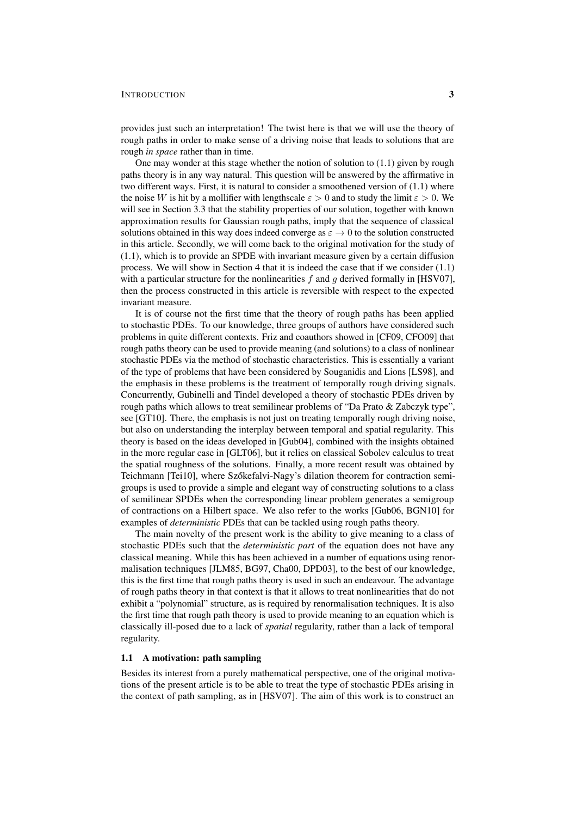provides just such an interpretation! The twist here is that we will use the theory of rough paths in order to make sense of a driving noise that leads to solutions that are rough *in space* rather than in time.

One may wonder at this stage whether the notion of solution to (1.1) given by rough paths theory is in any way natural. This question will be answered by the affirmative in two different ways. First, it is natural to consider a smoothened version of (1.1) where the noise W is hit by a mollifier with lengthscale  $\varepsilon > 0$  and to study the limit  $\varepsilon > 0$ . We will see in Section 3.3 that the stability properties of our solution, together with known approximation results for Gaussian rough paths, imply that the sequence of classical solutions obtained in this way does indeed converge as  $\varepsilon \to 0$  to the solution constructed in this article. Secondly, we will come back to the original motivation for the study of (1.1), which is to provide an SPDE with invariant measure given by a certain diffusion process. We will show in Section 4 that it is indeed the case that if we consider (1.1) with a particular structure for the nonlinearities  $f$  and  $g$  derived formally in [HSV07], then the process constructed in this article is reversible with respect to the expected invariant measure.

It is of course not the first time that the theory of rough paths has been applied to stochastic PDEs. To our knowledge, three groups of authors have considered such problems in quite different contexts. Friz and coauthors showed in [CF09, CFO09] that rough paths theory can be used to provide meaning (and solutions) to a class of nonlinear stochastic PDEs via the method of stochastic characteristics. This is essentially a variant of the type of problems that have been considered by Souganidis and Lions [LS98], and the emphasis in these problems is the treatment of temporally rough driving signals. Concurrently, Gubinelli and Tindel developed a theory of stochastic PDEs driven by rough paths which allows to treat semilinear problems of "Da Prato & Zabczyk type", see [GT10]. There, the emphasis is not just on treating temporally rough driving noise, but also on understanding the interplay between temporal and spatial regularity. This theory is based on the ideas developed in [Gub04], combined with the insights obtained in the more regular case in [GLT06], but it relies on classical Sobolev calculus to treat the spatial roughness of the solutions. Finally, a more recent result was obtained by Teichmann [Tei10], where Szőkefalvi-Nagy's dilation theorem for contraction semigroups is used to provide a simple and elegant way of constructing solutions to a class of semilinear SPDEs when the corresponding linear problem generates a semigroup of contractions on a Hilbert space. We also refer to the works [Gub06, BGN10] for examples of *deterministic* PDEs that can be tackled using rough paths theory.

The main novelty of the present work is the ability to give meaning to a class of stochastic PDEs such that the *deterministic part* of the equation does not have any classical meaning. While this has been achieved in a number of equations using renormalisation techniques [JLM85, BG97, Cha00, DPD03], to the best of our knowledge, this is the first time that rough paths theory is used in such an endeavour. The advantage of rough paths theory in that context is that it allows to treat nonlinearities that do not exhibit a "polynomial" structure, as is required by renormalisation techniques. It is also the first time that rough path theory is used to provide meaning to an equation which is classically ill-posed due to a lack of *spatial* regularity, rather than a lack of temporal regularity.

## 1.1 A motivation: path sampling

Besides its interest from a purely mathematical perspective, one of the original motivations of the present article is to be able to treat the type of stochastic PDEs arising in the context of path sampling, as in [HSV07]. The aim of this work is to construct an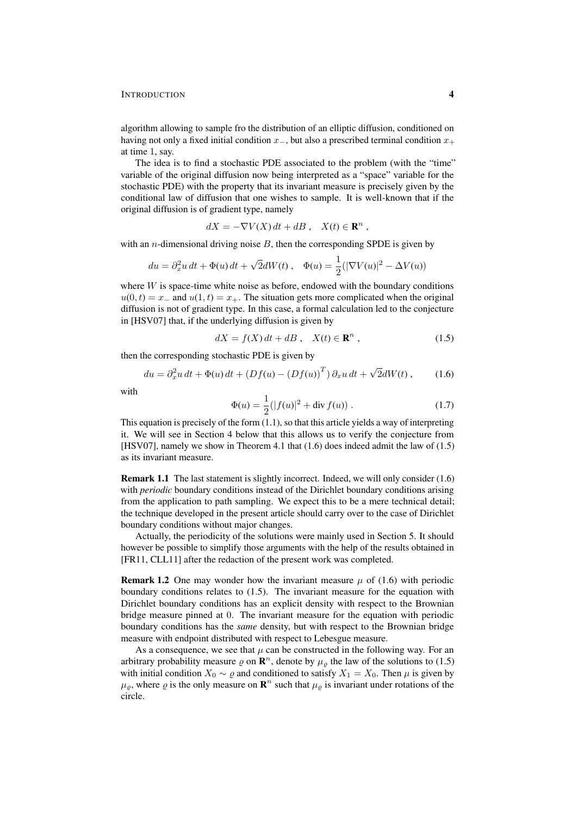algorithm allowing to sample fro the distribution of an elliptic diffusion, conditioned on having not only a fixed initial condition  $x_+$ , but also a prescribed terminal condition  $x_+$ at time 1, say.

The idea is to find a stochastic PDE associated to the problem (with the "time" variable of the original diffusion now being interpreted as a "space" variable for the stochastic PDE) with the property that its invariant measure is precisely given by the conditional law of diffusion that one wishes to sample. It is well-known that if the original diffusion is of gradient type, namely

$$
dX = -\nabla V(X) dt + dB , \quad X(t) \in \mathbf{R}^n ,
$$

with an *n*-dimensional driving noise  $B$ , then the corresponding SPDE is given by

$$
du = \partial_x^2 u \, dt + \Phi(u) \, dt + \sqrt{2} dW(t) \,, \quad \Phi(u) = \frac{1}{2} (|\nabla V(u)|^2 - \Delta V(u))
$$

where  $W$  is space-time white noise as before, endowed with the boundary conditions  $u(0, t) = x_{-}$  and  $u(1, t) = x_{+}$ . The situation gets more complicated when the original diffusion is not of gradient type. In this case, a formal calculation led to the conjecture in [HSV07] that, if the underlying diffusion is given by

$$
dX = f(X) dt + dB , \quad X(t) \in \mathbf{R}^n , \tag{1.5}
$$

then the corresponding stochastic PDE is given by

$$
du = \partial_x^2 u \, dt + \Phi(u) \, dt + \left( Df(u) - \left( Df(u) \right)^T \right) \partial_x u \, dt + \sqrt{2} dW(t) \,, \tag{1.6}
$$

with

$$
\Phi(u) = \frac{1}{2} (|f(u)|^2 + \text{div } f(u)). \tag{1.7}
$$

This equation is precisely of the form (1.1), so that this article yields a way of interpreting it. We will see in Section 4 below that this allows us to verify the conjecture from [HSV07], namely we show in Theorem 4.1 that (1.6) does indeed admit the law of (1.5) as its invariant measure.

Remark 1.1 The last statement is slightly incorrect. Indeed, we will only consider (1.6) with *periodic* boundary conditions instead of the Dirichlet boundary conditions arising from the application to path sampling. We expect this to be a mere technical detail; the technique developed in the present article should carry over to the case of Dirichlet boundary conditions without major changes.

Actually, the periodicity of the solutions were mainly used in Section 5. It should however be possible to simplify those arguments with the help of the results obtained in [FR11, CLL11] after the redaction of the present work was completed.

**Remark 1.2** One may wonder how the invariant measure  $\mu$  of (1.6) with periodic boundary conditions relates to (1.5). The invariant measure for the equation with Dirichlet boundary conditions has an explicit density with respect to the Brownian bridge measure pinned at 0. The invariant measure for the equation with periodic boundary conditions has the *same* density, but with respect to the Brownian bridge measure with endpoint distributed with respect to Lebesgue measure.

As a consequence, we see that  $\mu$  can be constructed in the following way. For an arbitrary probability measure  $\varrho$  on  $\mathbb{R}^n$ , denote by  $\mu_\varrho$  the law of the solutions to (1.5) with initial condition  $X_0 \sim \varrho$  and conditioned to satisfy  $X_1 = X_0$ . Then  $\mu$  is given by  $\mu_{\varrho}$ , where  $\varrho$  is the only measure on  $\mathbf{R}^n$  such that  $\mu_{\varrho}$  is invariant under rotations of the circle.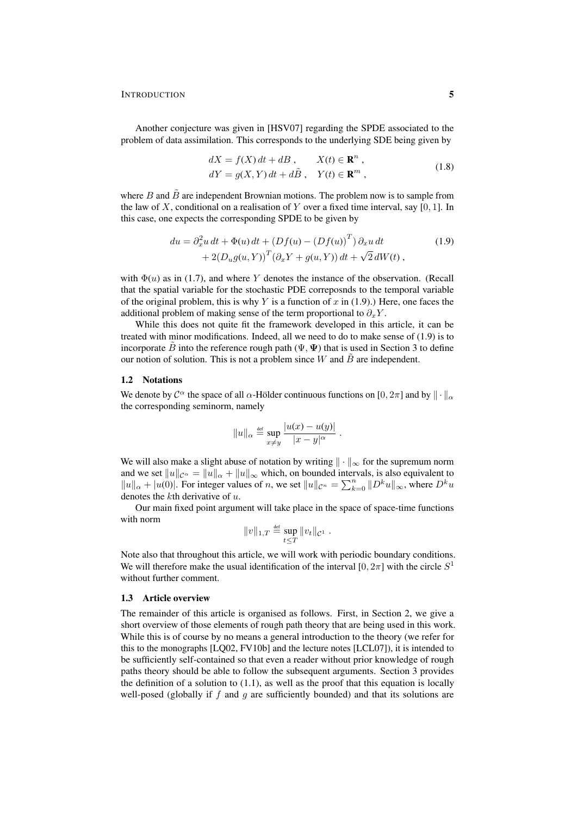Another conjecture was given in [HSV07] regarding the SPDE associated to the problem of data assimilation. This corresponds to the underlying SDE being given by

$$
dX = f(X) dt + dB, \t X(t) \in \mathbf{R}^{n},
$$
  
\n
$$
dY = g(X, Y) dt + d\tilde{B}, \t Y(t) \in \mathbf{R}^{m},
$$
\n(1.8)

where  $B$  and  $\overline{B}$  are independent Brownian motions. The problem now is to sample from the law of X, conditional on a realisation of Y over a fixed time interval, say [0, 1]. In this case, one expects the corresponding SPDE to be given by

$$
du = \partial_x^2 u dt + \Phi(u) dt + (Df(u) - (Df(u))^T) \partial_x u dt
$$
  
+ 2(D\_u g(u, Y))^T (\partial\_x Y + g(u, Y)) dt + \sqrt{2} dW(t), (1.9)

with  $\Phi(u)$  as in (1.7), and where Y denotes the instance of the observation. (Recall that the spatial variable for the stochastic PDE correposnds to the temporal variable of the original problem, this is why Y is a function of x in  $(1.9)$ .) Here, one faces the additional problem of making sense of the term proportional to  $\partial_x Y$ .

While this does not quite fit the framework developed in this article, it can be treated with minor modifications. Indeed, all we need to do to make sense of (1.9) is to incorporate  $\tilde{B}$  into the reference rough path ( $\Psi$ ,  $\Psi$ ) that is used in Section 3 to define our notion of solution. This is not a problem since W and  $\hat{B}$  are independent.

## 1.2 Notations

We denote by  $\mathcal{C}^{\alpha}$  the space of all  $\alpha$ -Hölder continuous functions on [0,  $2\pi$ ] and by  $\|\cdot\|_{\alpha}$ the corresponding seminorm, namely

$$
||u||_{\alpha} \stackrel{\text{def}}{=} \sup_{x \neq y} \frac{|u(x) - u(y)|}{|x - y|^{\alpha}}.
$$

We will also make a slight abuse of notation by writing  $\|\cdot\|_{\infty}$  for the supremum norm and we set  $||u||_{\mathcal{C}^{\alpha}} = ||u||_{\alpha} + ||u||_{\infty}$  which, on bounded intervals, is also equivalent to  $||u||_{\alpha} + |u(0)|$ . For integer values of n, we set  $||u||_{\mathcal{C}^n} = \sum_{k=0}^n ||D^k u||_{\infty}$ , where  $D^k u$ denotes the kth derivative of u.

Our main fixed point argument will take place in the space of space-time functions with norm

$$
||v||_{1,T} \stackrel{\text{def}}{=} \sup_{t \leq T} ||v_t||_{\mathcal{C}^1}.
$$

Note also that throughout this article, we will work with periodic boundary conditions. We will therefore make the usual identification of the interval [0,  $2\pi$ ] with the circle  $S<sup>1</sup>$ without further comment.

# 1.3 Article overview

The remainder of this article is organised as follows. First, in Section 2, we give a short overview of those elements of rough path theory that are being used in this work. While this is of course by no means a general introduction to the theory (we refer for this to the monographs [LQ02, FV10b] and the lecture notes [LCL07]), it is intended to be sufficiently self-contained so that even a reader without prior knowledge of rough paths theory should be able to follow the subsequent arguments. Section 3 provides the definition of a solution to  $(1.1)$ , as well as the proof that this equation is locally well-posed (globally if  $f$  and  $g$  are sufficiently bounded) and that its solutions are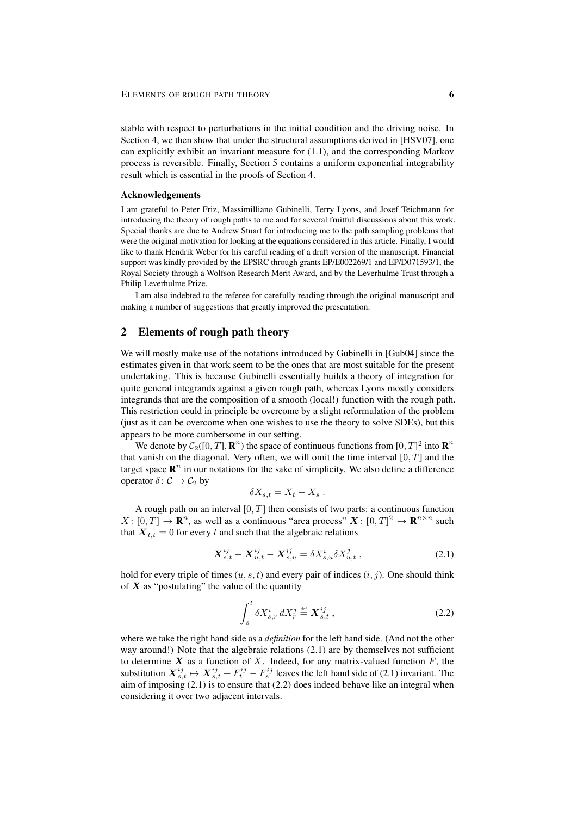stable with respect to perturbations in the initial condition and the driving noise. In Section 4, we then show that under the structural assumptions derived in [HSV07], one can explicitly exhibit an invariant measure for (1.1), and the corresponding Markov process is reversible. Finally, Section 5 contains a uniform exponential integrability result which is essential in the proofs of Section 4.

# Acknowledgements

I am grateful to Peter Friz, Massimilliano Gubinelli, Terry Lyons, and Josef Teichmann for introducing the theory of rough paths to me and for several fruitful discussions about this work. Special thanks are due to Andrew Stuart for introducing me to the path sampling problems that were the original motivation for looking at the equations considered in this article. Finally, I would like to thank Hendrik Weber for his careful reading of a draft version of the manuscript. Financial support was kindly provided by the EPSRC through grants EP/E002269/1 and EP/D071593/1, the Royal Society through a Wolfson Research Merit Award, and by the Leverhulme Trust through a Philip Leverhulme Prize.

I am also indebted to the referee for carefully reading through the original manuscript and making a number of suggestions that greatly improved the presentation.

# 2 Elements of rough path theory

We will mostly make use of the notations introduced by Gubinelli in [Gub04] since the estimates given in that work seem to be the ones that are most suitable for the present undertaking. This is because Gubinelli essentially builds a theory of integration for quite general integrands against a given rough path, whereas Lyons mostly considers integrands that are the composition of a smooth (local!) function with the rough path. This restriction could in principle be overcome by a slight reformulation of the problem (just as it can be overcome when one wishes to use the theory to solve SDEs), but this appears to be more cumbersome in our setting.

We denote by  $C_2([0, T], \mathbb{R}^n)$  the space of continuous functions from  $[0, T]^2$  into  $\mathbb{R}^n$ that vanish on the diagonal. Very often, we will omit the time interval  $[0, T]$  and the target space  $\mathbb{R}^n$  in our notations for the sake of simplicity. We also define a difference operator  $\delta: \mathcal{C} \to \mathcal{C}_2$  by

$$
\delta X_{s,t} = X_t - X_s .
$$

A rough path on an interval  $[0, T]$  then consists of two parts: a continuous function  $X: [0, T] \to \mathbf{R}^n$ , as well as a continuous "area process"  $\mathbf{X}: [0, T]^2 \to \mathbf{R}^{n \times n}$  such that  $X_{t,t} = 0$  for every t and such that the algebraic relations

$$
\mathbf{X}_{s,t}^{ij} - \mathbf{X}_{u,t}^{ij} - \mathbf{X}_{s,u}^{ij} = \delta X_{s,u}^{i} \delta X_{u,t}^{j} , \qquad (2.1)
$$

hold for every triple of times  $(u, s, t)$  and every pair of indices  $(i, j)$ . One should think of  $X$  as "postulating" the value of the quantity

$$
\int_{s}^{t} \delta X_{s,r}^{i} dX_{r}^{j} \stackrel{\text{def}}{=} \mathbf{X}_{s,t}^{ij} , \qquad (2.2)
$$

where we take the right hand side as a *definition* for the left hand side. (And not the other way around!) Note that the algebraic relations (2.1) are by themselves not sufficient to determine  $X$  as a function of  $X$ . Indeed, for any matrix-valued function  $F$ , the substitution  $X_{s,t}^{ij} \mapsto X_{s,t}^{ij} + F_t^{ij} - F_s^{ij}$  leaves the left hand side of (2.1) invariant. The aim of imposing (2.1) is to ensure that (2.2) does indeed behave like an integral when considering it over two adjacent intervals.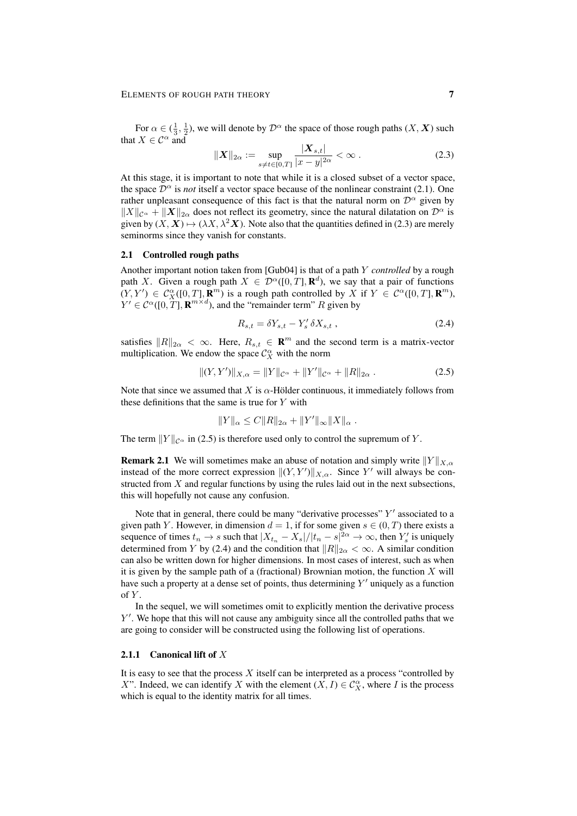For  $\alpha \in (\frac{1}{3}, \frac{1}{2})$ , we will denote by  $\mathcal{D}^{\alpha}$  the space of those rough paths  $(X, \mathbf{X})$  such that  $X \in \mathcal{C}^{\alpha}$  and

$$
\|\mathbf{X}\|_{2\alpha} := \sup_{s \neq t \in [0,T]} \frac{|\mathbf{X}_{s,t}|}{|x - y|^{2\alpha}} < \infty.
$$
 (2.3)

At this stage, it is important to note that while it is a closed subset of a vector space, the space  $\mathcal{D}^{\alpha}$  is *not* itself a vector space because of the nonlinear constraint (2.1). One rather unpleasant consequence of this fact is that the natural norm on  $\mathcal{D}^{\alpha}$  given by  $||X||_{\mathcal{C}^{\alpha}} + ||X||_{2\alpha}$  does not reflect its geometry, since the natural dilatation on  $\mathcal{D}^{\alpha}$  is given by  $(X, X) \mapsto (\lambda X, \lambda^2 X)$ . Note also that the quantities defined in (2.3) are merely seminorms since they vanish for constants.

# 2.1 Controlled rough paths

Another important notion taken from [Gub04] is that of a path Y *controlled* by a rough path X. Given a rough path  $X \in \mathcal{D}^{\alpha}([0,T], \mathbf{R}^{d})$ , we say that a pair of functions  $(Y, Y') \in C_X^{\alpha}([0, T], \mathbf{R}^m)$  is a rough path controlled by X if  $Y \in C^{\alpha}([0, T], \mathbf{R}^m)$ ,  $Y' \in \mathcal{C}^{\alpha}([0, T], \mathbf{R}^{m \times d})$ , and the "remainder term" R given by

$$
R_{s,t} = \delta Y_{s,t} - Y'_s \delta X_{s,t} , \qquad (2.4)
$$

satisfies  $||R||_{2\alpha} < \infty$ . Here,  $R_{s,t} \in \mathbb{R}^m$  and the second term is a matrix-vector multiplication. We endow the space  $\mathcal{C}_X^{\alpha}$  with the norm

$$
||(Y,Y')||_{X,\alpha} = ||Y||_{\mathcal{C}^{\alpha}} + ||Y'||_{\mathcal{C}^{\alpha}} + ||R||_{2\alpha}.
$$
 (2.5)

Note that since we assumed that X is  $\alpha$ -Hölder continuous, it immediately follows from these definitions that the same is true for  $Y$  with

$$
||Y||_{\alpha} \leq C||R||_{2\alpha} + ||Y'||_{\infty}||X||_{\alpha} .
$$

The term  $||Y||_{\mathcal{C}^{\alpha}}$  in (2.5) is therefore used only to control the supremum of Y.

**Remark 2.1** We will sometimes make an abuse of notation and simply write  $||Y||_{X,\alpha}$ instead of the more correct expression  $\|(Y, Y')\|_{X,\alpha}$ . Since Y' will always be constructed from  $X$  and regular functions by using the rules laid out in the next subsections, this will hopefully not cause any confusion.

Note that in general, there could be many "derivative processes"  $Y'$  associated to a given path Y. However, in dimension  $d = 1$ , if for some given  $s \in (0, T)$  there exists a sequence of times  $t_n \to s$  such that  $|X_{t_n} - X_s|/|t_n - s|^{2\alpha} \to \infty$ , then  $Y'_s$  is uniquely determined from Y by (2.4) and the condition that  $||R||_{2\alpha} < \infty$ . A similar condition can also be written down for higher dimensions. In most cases of interest, such as when it is given by the sample path of a (fractional) Brownian motion, the function  $X$  will have such a property at a dense set of points, thus determining  $Y'$  uniquely as a function of  $Y$ .

In the sequel, we will sometimes omit to explicitly mention the derivative process Y'. We hope that this will not cause any ambiguity since all the controlled paths that we are going to consider will be constructed using the following list of operations.

# 2.1.1 Canonical lift of  $X$

It is easy to see that the process  $X$  itself can be interpreted as a process "controlled by X". Indeed, we can identify X with the element  $(X, I) \in C_X^{\alpha}$ , where I is the process which is equal to the identity matrix for all times.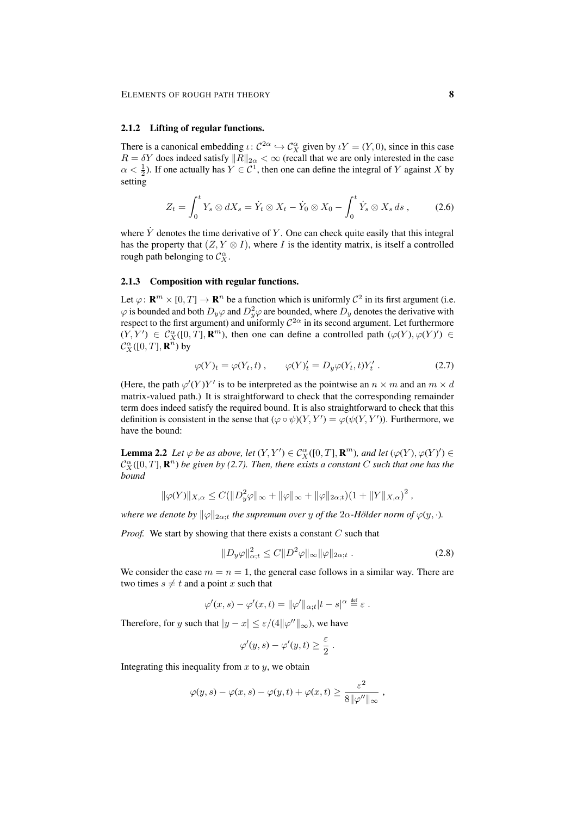#### 2.1.2 Lifting of regular functions.

There is a canonical embedding  $\iota \colon C^{2\alpha} \hookrightarrow C_X^{\alpha}$  given by  $\iota Y = (Y, 0)$ , since in this case  $R = \delta Y$  does indeed satisfy  $||R||_{2\alpha} < \infty$  (recall that we are only interested in the case  $\alpha < \frac{1}{2}$ ). If one actually has  $Y \in \mathcal{C}^1$ , then one can define the integral of Y against X by setting

$$
Z_t = \int_0^t Y_s \otimes dX_s = \dot{Y}_t \otimes X_t - \dot{Y}_0 \otimes X_0 - \int_0^t \dot{Y}_s \otimes X_s ds , \qquad (2.6)
$$

where  $\dot{Y}$  denotes the time derivative of Y. One can check quite easily that this integral has the property that  $(Z, Y \otimes I)$ , where I is the identity matrix, is itself a controlled rough path belonging to  $\mathcal{C}_X^{\alpha}$ .

## 2.1.3 Composition with regular functions.

Let  $\varphi: \mathbf{R}^m \times [0,T] \to \mathbf{R}^n$  be a function which is uniformly  $\mathcal{C}^2$  in its first argument (i.e.  $\varphi$  is bounded and both  $D_y\varphi$  and  $D_y^2\varphi$  are bounded, where  $D_y$  denotes the derivative with respect to the first argument) and uniformly  $C^{2\alpha}$  in its second argument. Let furthermore  $(Y, Y') \in C_X^{\alpha}([0, T], \mathbf{R}^m)$ , then one can define a controlled path  $(\varphi(Y), \varphi(Y')) \in$  $\mathcal{C}_X^{\alpha}([0,T],\mathbf{R}^n)$  by

$$
\varphi(Y)_t = \varphi(Y_t, t) , \qquad \varphi(Y)_t' = D_y \varphi(Y_t, t) Y_t' . \tag{2.7}
$$

(Here, the path  $\varphi'(Y)Y'$  is to be interpreted as the pointwise an  $n \times m$  and an  $m \times d$ matrix-valued path.) It is straightforward to check that the corresponding remainder term does indeed satisfy the required bound. It is also straightforward to check that this definition is consistent in the sense that  $(\varphi \circ \psi)(Y, Y') = \varphi(\psi(Y, Y'))$ . Furthermore, we have the bound:

**Lemma 2.2** Let  $\varphi$  be as above, let  $(Y, Y') \in C_X^{\alpha}([0, T], \mathbf{R}^m)$ , and let  $(\varphi(Y), \varphi(Y')) \in C_X^{\alpha}$  $\mathcal{C}_X^{\alpha}([0,T],\mathbf{R}^n)$  be given by (2.7). Then, there exists a constant C such that one has the *bound*

$$
\|\varphi(Y)\|_{X,\alpha} \le C(\|D_y^2 \varphi\|_{\infty} + \|\varphi\|_{\infty} + \|\varphi\|_{2\alpha,t})(1 + \|Y\|_{X,\alpha})^2,
$$

*where we denote by*  $\|\varphi\|_{2\alpha}$ *t the supremum over y of the*  $2\alpha$ *-Hölder norm of*  $\varphi(y, \cdot)$ *.* 

*Proof.* We start by showing that there exists a constant C such that

$$
||D_y \varphi||_{\alpha;t}^2 \le C ||D^2 \varphi||_{\infty} ||\varphi||_{2\alpha;t} . \tag{2.8}
$$

We consider the case  $m = n = 1$ , the general case follows in a similar way. There are two times  $s \neq t$  and a point x such that

$$
\varphi'(x,s) - \varphi'(x,t) = ||\varphi'||_{\alpha;t}|t-s|^{\alpha} \stackrel{\text{def}}{=} \varepsilon.
$$

Therefore, for y such that  $|y - x| \le \varepsilon/(4||\varphi''||_{\infty})$ , we have

$$
\varphi'(y,s) - \varphi'(y,t) \ge \frac{\varepsilon}{2} .
$$

Integrating this inequality from  $x$  to  $y$ , we obtain

$$
\varphi(y,s) - \varphi(x,s) - \varphi(y,t) + \varphi(x,t) \ge \frac{\varepsilon^2}{8||\varphi''||_{\infty}},
$$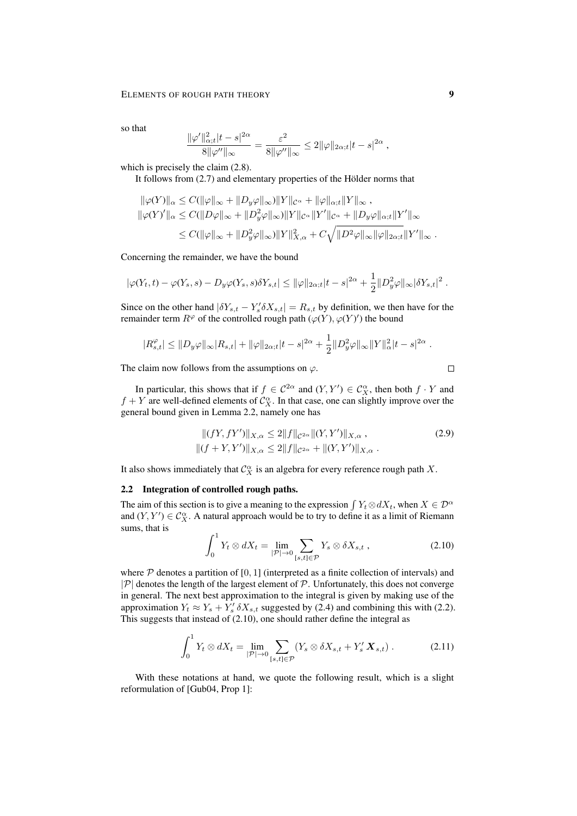so that

$$
\frac{\|\varphi'\|_{\alpha;t}^2|t-s|^{2\alpha}}{8\|\varphi''\|_{\infty}} = \frac{\varepsilon^2}{8\|\varphi''\|_{\infty}} \le 2\|\varphi\|_{2\alpha;t}|t-s|^{2\alpha},
$$

which is precisely the claim  $(2.8)$ .

It follows from  $(2.7)$  and elementary properties of the Hölder norms that

$$
\|\varphi(Y)\|_{\alpha} \le C(\|\varphi\|_{\infty} + \|D_y \varphi\|_{\infty}) \|Y\|_{\mathcal{C}^{\alpha}} + \|\varphi\|_{\alpha; t} \|Y\|_{\infty} ,
$$
  

$$
\|\varphi(Y)'\|_{\alpha} \le C(\|\mathcal{D}\varphi\|_{\infty} + \|\mathcal{D}_y^2 \varphi\|_{\infty}) \|Y\|_{\mathcal{C}^{\alpha}} \|Y'\|_{\mathcal{C}^{\alpha}} + \|D_y \varphi\|_{\alpha; t} \|Y'\|_{\infty} \le C(\|\varphi\|_{\infty} + \|\mathcal{D}_y^2 \varphi\|_{\infty}) \|Y\|_{X,\alpha}^2 + C\sqrt{\|\mathcal{D}^2 \varphi\|_{\infty} \|\varphi\|_{2\alpha; t}} \|Y'\|_{\infty} .
$$

Concerning the remainder, we have the bound

$$
|\varphi(Y_t,t)-\varphi(Y_s,s)-D_y\varphi(Y_s,s)\delta Y_{s,t}|\leq ||\varphi||_{2\alpha;t}|t-s|^{2\alpha}+\frac{1}{2}||D^2_y\varphi||_{\infty}|\delta Y_{s,t}|^2.
$$

Since on the other hand  $|\delta Y_{s,t} - Y_s' \delta X_{s,t}| = R_{s,t}$  by definition, we then have for the remainder term  $R^{\varphi}$  of the controlled rough path  $(\varphi(Y), \varphi(Y'))$  the bound

$$
|R_{s,t}^{\varphi}| \leq ||D_y \varphi||_{\infty} |R_{s,t}| + ||\varphi||_{2\alpha;t}|t-s|^{2\alpha} + \frac{1}{2}||D_y^2 \varphi||_{\infty} ||Y||_{\alpha}^2 |t-s|^{2\alpha}.
$$

The claim now follows from the assumptions on  $\varphi$ .

In particular, this shows that if  $f \in C^{2\alpha}$  and  $(Y, Y') \in C_X^{\alpha}$ , then both  $f \cdot Y$  and  $f + Y$  are well-defined elements of  $C_X^{\alpha}$ . In that case, one can slightly improve over the general bound given in Lemma 2.2, namely one has

$$
||(fY, fY')||_{X,\alpha} \le 2||f||_{\mathcal{C}^{2\alpha}}||(Y, Y')||_{X,\alpha},
$$
  
 
$$
||(f + Y, Y')||_{X,\alpha} \le 2||f||_{\mathcal{C}^{2\alpha}} + ||(Y, Y')||_{X,\alpha}.
$$
 (2.9)

It also shows immediately that  $\mathcal{C}_X^{\alpha}$  is an algebra for every reference rough path X.

#### 2.2 Integration of controlled rough paths.

The aim of this section is to give a meaning to the expression  $\int Y_t \otimes dX_t$ , when  $X \in \mathcal{D}^{\alpha}$ and  $(Y, Y') \in C_X^{\alpha}$ . A natural approach would be to try to define it as a limit of Riemann sums, that is

$$
\int_0^1 Y_t \otimes dX_t = \lim_{|\mathcal{P}| \to 0} \sum_{[s,t] \in \mathcal{P}} Y_s \otimes \delta X_{s,t} , \qquad (2.10)
$$

where  $P$  denotes a partition of [0, 1] (interpreted as a finite collection of intervals) and  $|\mathcal{P}|$  denotes the length of the largest element of  $\mathcal{P}$ . Unfortunately, this does not converge in general. The next best approximation to the integral is given by making use of the approximation  $Y_t \approx Y_s + Y'_s \, \delta X_{s,t}$  suggested by (2.4) and combining this with (2.2). This suggests that instead of (2.10), one should rather define the integral as

$$
\int_0^1 Y_t \otimes dX_t = \lim_{|\mathcal{P}| \to 0} \sum_{[s,t] \in \mathcal{P}} (Y_s \otimes \delta X_{s,t} + Y'_s \mathbf{X}_{s,t}). \tag{2.11}
$$

With these notations at hand, we quote the following result, which is a slight reformulation of [Gub04, Prop 1]:

$$
\qquad \qquad \Box
$$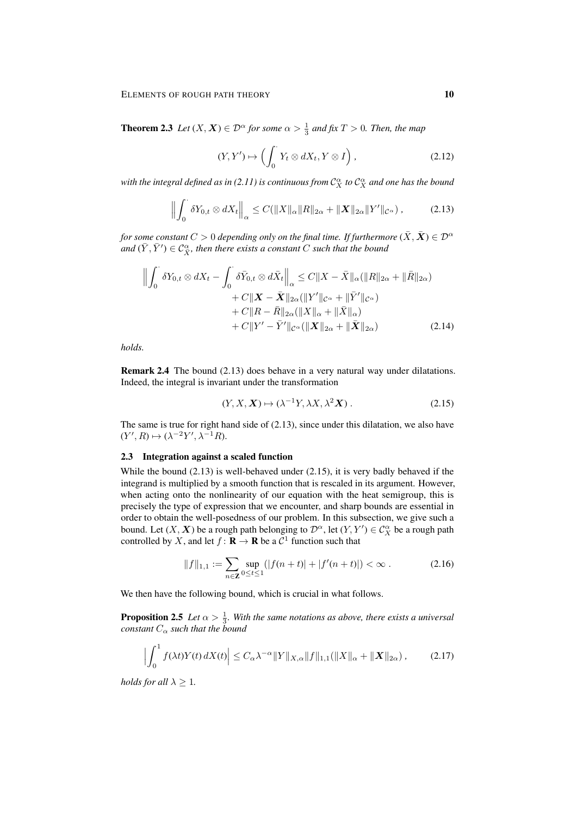**Theorem 2.3** *Let*  $(X, X) \in \mathcal{D}^{\alpha}$  *for some*  $\alpha > \frac{1}{3}$  *and fix*  $T > 0$ *. Then, the map* 

$$
(Y, Y') \mapsto \left( \int_0^{\cdot} Y_t \otimes dX_t, Y \otimes I \right), \tag{2.12}
$$

with the integral defined as in (2.11) is continuous from  $\mathcal{C}^\alpha_X$  to  $\mathcal{C}^\alpha_X$  and one has the bound

$$
\left\| \int_0^{\cdot} \delta Y_{0,t} \otimes dX_t \right\|_{\alpha} \leq C(\|X\|_{\alpha} \|R\|_{2\alpha} + \|X\|_{2\alpha} \|Y'\|_{\mathcal{C}^{\alpha}}), \tag{2.13}
$$

*for some constant*  $C > 0$  *depending only on the final time. If furthermore*  $(\bar{X}, \bar{X}) \in \mathcal{D}^{\alpha}$ and  $(\bar{Y}, \bar{Y}') \in \mathcal{C}^{\alpha}_{\bar{X}}$ , then there exists a constant  $C$  such that the bound

$$
\left\| \int_0^{\cdot} \delta Y_{0,t} \otimes dX_t - \int_0^{\cdot} \delta \bar{Y}_{0,t} \otimes d\bar{X}_t \right\|_{\alpha} \leq C \|X - \bar{X}\|_{\alpha} (\|R\|_{2\alpha} + \|\bar{R}\|_{2\alpha})
$$
  
+  $C \|X - \bar{X}\|_{2\alpha} (\|Y'\|_{\mathcal{C}^{\alpha}} + \|\bar{Y}'\|_{\mathcal{C}^{\alpha}})$   
+  $C \|R - \bar{R}\|_{2\alpha} (\|X\|_{\alpha} + \|\bar{X}\|_{\alpha})$   
+  $C \|Y' - \bar{Y}'\|_{\mathcal{C}^{\alpha}} (\|X\|_{2\alpha} + \|\bar{X}\|_{2\alpha})$  (2.14)

*holds.*

Remark 2.4 The bound (2.13) does behave in a very natural way under dilatations. Indeed, the integral is invariant under the transformation

$$
(Y, X, \mathbf{X}) \mapsto (\lambda^{-1} Y, \lambda X, \lambda^2 \mathbf{X}). \tag{2.15}
$$

The same is true for right hand side of  $(2.13)$ , since under this dilatation, we also have  $(Y', R) \mapsto (\lambda^{-2}Y', \lambda^{-1}R).$ 

#### 2.3 Integration against a scaled function

While the bound (2.13) is well-behaved under (2.15), it is very badly behaved if the integrand is multiplied by a smooth function that is rescaled in its argument. However, when acting onto the nonlinearity of our equation with the heat semigroup, this is precisely the type of expression that we encounter, and sharp bounds are essential in order to obtain the well-posedness of our problem. In this subsection, we give such a bound. Let  $(X, X)$  be a rough path belonging to  $\mathcal{D}^{\alpha}$ , let  $(Y, Y') \in C_X^{\alpha}$  be a rough path controlled by X, and let  $f : \mathbf{R} \to \mathbf{R}$  be a  $\mathcal{C}^1$  function such that

$$
||f||_{1,1} := \sum_{n \in \mathbb{Z}} \sup_{0 \le t \le 1} (|f(n+t)| + |f'(n+t)|) < \infty \,. \tag{2.16}
$$

We then have the following bound, which is crucial in what follows.

**Proposition 2.5** Let  $\alpha > \frac{1}{3}$ . With the same notations as above, there exists a universal *constant*  $C_{\alpha}$  *such that the bound* 

$$
\left| \int_0^1 f(\lambda t) Y(t) \, dX(t) \right| \le C_\alpha \lambda^{-\alpha} \|Y\|_{X,\alpha} \|f\|_{1,1} (\|X\|_\alpha + \|X\|_{2\alpha}), \tag{2.17}
$$

*holds for all*  $\lambda \geq 1$ *.*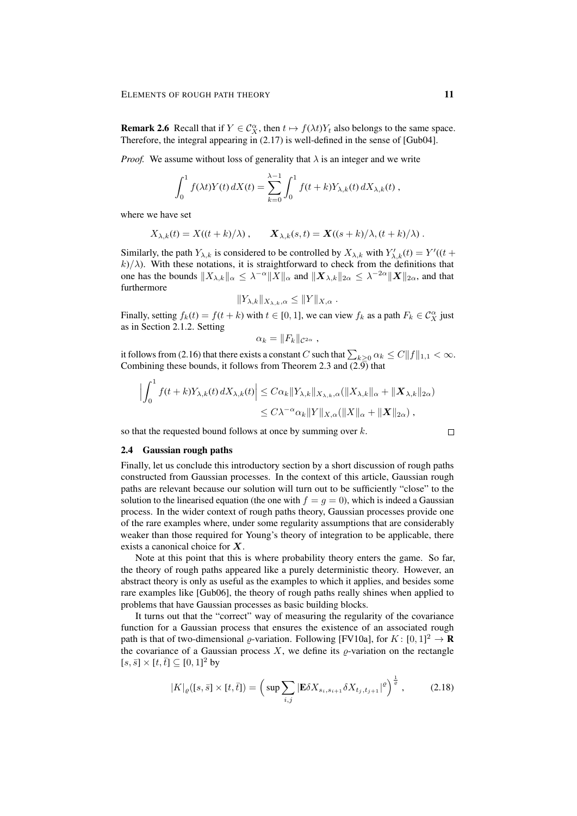**Remark 2.6** Recall that if  $Y \in C_X^{\alpha}$ , then  $t \mapsto f(\lambda t)Y_t$  also belongs to the same space. Therefore, the integral appearing in (2.17) is well-defined in the sense of [Gub04].

*Proof.* We assume without loss of generality that  $\lambda$  is an integer and we write

$$
\int_0^1 f(\lambda t) Y(t) dX(t) = \sum_{k=0}^{\lambda-1} \int_0^1 f(t+k) Y_{\lambda,k}(t) dX_{\lambda,k}(t) ,
$$

where we have set

$$
X_{\lambda,k}(t) = X((t+k)/\lambda), \qquad \mathbf{X}_{\lambda,k}(s,t) = \mathbf{X}((s+k)/\lambda, (t+k)/\lambda).
$$

Similarly, the path  $Y_{\lambda,k}$  is considered to be controlled by  $X_{\lambda,k}$  with  $Y'_{\lambda,k}(t) = Y'(t +$  $k/\lambda$ ). With these notations, it is straightforward to check from the definitions that one has the bounds  $||X_{\lambda,k}||_{\alpha} \leq \lambda^{-\alpha} ||X||_{\alpha}$  and  $||\mathbf{X}_{\lambda,k}||_{2\alpha} \leq \lambda^{-2\alpha} ||\mathbf{X}||_{2\alpha}$ , and that furthermore

$$
||Y_{\lambda,k}||_{X_{\lambda,k},\alpha} \leq ||Y||_{X,\alpha} .
$$

Finally, setting  $f_k(t) = f(t+k)$  with  $t \in [0,1]$ , we can view  $f_k$  as a path  $F_k \in C_X^{\alpha}$  just as in Section 2.1.2. Setting

$$
\alpha_k = ||F_k||_{\mathcal{C}^{2\alpha}},
$$

it follows from (2.16) that there exists a constant  $C$  such that  $\sum_{k\geq 0} \alpha_k \leq C \|f\|_{1,1} < \infty.$ Combining these bounds, it follows from Theorem 2.3 and  $(2.\overline{9})$  that

$$
\left| \int_0^1 f(t+k) Y_{\lambda,k}(t) dX_{\lambda,k}(t) \right| \leq C \alpha_k \|Y_{\lambda,k}\|_{X_{\lambda,k},\alpha} (\|X_{\lambda,k}\|_{\alpha} + \|X_{\lambda,k}\|_{2\alpha})
$$
  

$$
\leq C \lambda^{-\alpha} \alpha_k \|Y\|_{X,\alpha} (\|X\|_{\alpha} + \|X\|_{2\alpha}),
$$

so that the requested bound follows at once by summing over  $k$ .

## 2.4 Gaussian rough paths

Finally, let us conclude this introductory section by a short discussion of rough paths constructed from Gaussian processes. In the context of this article, Gaussian rough paths are relevant because our solution will turn out to be sufficiently "close" to the solution to the linearised equation (the one with  $f = g = 0$ ), which is indeed a Gaussian process. In the wider context of rough paths theory, Gaussian processes provide one of the rare examples where, under some regularity assumptions that are considerably weaker than those required for Young's theory of integration to be applicable, there exists a canonical choice for X.

Note at this point that this is where probability theory enters the game. So far, the theory of rough paths appeared like a purely deterministic theory. However, an abstract theory is only as useful as the examples to which it applies, and besides some rare examples like [Gub06], the theory of rough paths really shines when applied to problems that have Gaussian processes as basic building blocks.

It turns out that the "correct" way of measuring the regularity of the covariance function for a Gaussian process that ensures the existence of an associated rough path is that of two-dimensional  $\varrho$ -variation. Following [FV10a], for  $K: [0,1]^2 \to \mathbf{R}$ the covariance of a Gaussian process  $X$ , we define its  $\rho$ -variation on the rectangle  $[s, \bar{s}] \times [t, \bar{t}] \subseteq [0, 1]^2$  by

$$
|K|_{\varrho}([s,\bar{s}] \times [t,\bar{t}]) = \left(\sup \sum_{i,j} |\mathbf{E} \delta X_{s_i,s_{i+1}} \delta X_{t_j,t_{j+1}}|^{\varrho}\right)^{\frac{1}{\varrho}},\tag{2.18}
$$

 $\Box$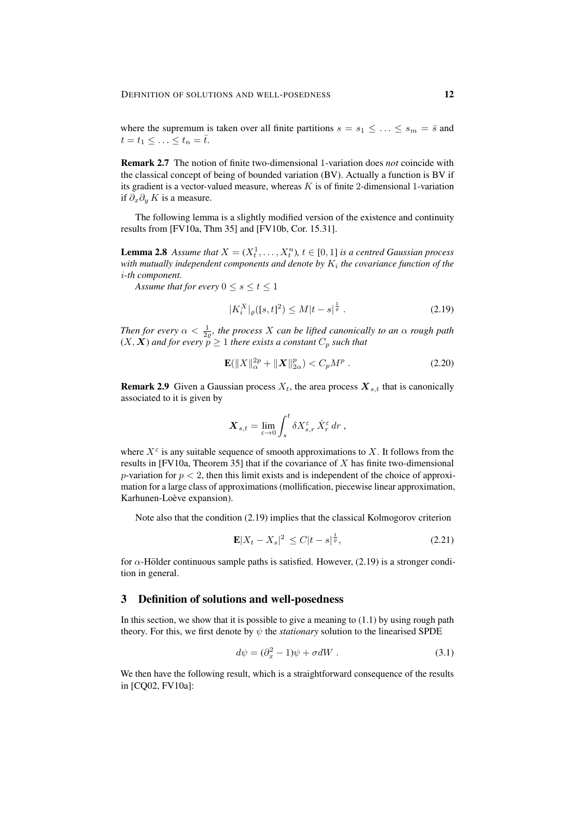where the supremum is taken over all finite partitions  $s = s_1 \leq \ldots \leq s_m = \overline{s}$  and  $t = t_1 \leq \ldots \leq t_n = \overline{t}.$ 

Remark 2.7 The notion of finite two-dimensional 1-variation does *not* coincide with the classical concept of being of bounded variation (BV). Actually a function is BV if its gradient is a vector-valued measure, whereas  $K$  is of finite 2-dimensional 1-variation if  $\partial_x \partial_y K$  is a measure.

The following lemma is a slightly modified version of the existence and continuity results from [FV10a, Thm 35] and [FV10b, Cor. 15.31].

**Lemma 2.8** Assume that  $X = (X_t^1, \ldots, X_t^n)$ ,  $t \in [0, 1]$  is a centred Gaussian process with mutually independent components and denote by  $K_i$  the covariance function of the i*-th component.*

*Assume that for every*  $0 \leq s \leq t \leq 1$ 

$$
|K_i^X|_{\varrho}([s,t]^2) \le M|t-s|^{\frac{1}{\varrho}}.
$$
\n(2.19)

*Then for every*  $\alpha < \frac{1}{2\varrho}$ , the process X can be lifted canonically to an $\alpha$  rough path  $(X, X)$  and for every  $p \geq 1$  there exists a constant  $C_p$  such that

$$
\mathbf{E}(\|X\|_{\alpha}^{2p} + \|X\|_{2\alpha}^p) < C_p M^p \tag{2.20}
$$

**Remark 2.9** Given a Gaussian process  $X_t$ , the area process  $X_{s,t}$  that is canonically associated to it is given by

$$
\mathbf{X}_{s,t} = \lim_{\varepsilon \to 0} \int_s^t \delta X_{s,r}^\varepsilon \dot{X}_r^\varepsilon dr ,
$$

where  $X^{\varepsilon}$  is any suitable sequence of smooth approximations to X. It follows from the results in [FV10a, Theorem 35] that if the covariance of X has finite two-dimensional p-variation for  $p < 2$ , then this limit exists and is independent of the choice of approximation for a large class of approximations (mollification, piecewise linear approximation, Karhunen-Loève expansion).

Note also that the condition (2.19) implies that the classical Kolmogorov criterion

$$
\mathbf{E}|X_t - X_s|^2 \le C|t - s|^{\frac{1}{\varrho}}, \tag{2.21}
$$

for  $\alpha$ -Hölder continuous sample paths is satisfied. However, (2.19) is a stronger condition in general.

# 3 Definition of solutions and well-posedness

In this section, we show that it is possible to give a meaning to  $(1.1)$  by using rough path theory. For this, we first denote by  $\psi$  the *stationary* solution to the linearised SPDE

$$
d\psi = (\partial_x^2 - 1)\psi + \sigma dW \tag{3.1}
$$

We then have the following result, which is a straightforward consequence of the results in [CQ02, FV10a]: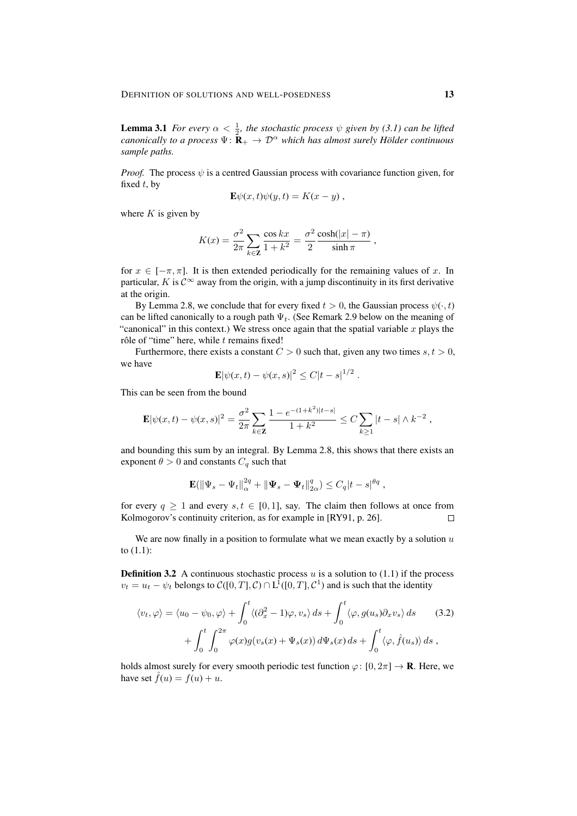**Lemma 3.1** *For every*  $\alpha < \frac{1}{2}$ *, the stochastic process*  $\psi$  *given by (3.1) can be lifted canonically to a process*  $\Psi: \mathbf{R}_{+} \to \mathcal{D}^{\alpha}$  *which has almost surely Hölder continuous sample paths.*

*Proof.* The process  $\psi$  is a centred Gaussian process with covariance function given, for fixed  $t$ , by

$$
\mathbf{E}\psi(x,t)\psi(y,t) = K(x-y),
$$

where  $K$  is given by

$$
K(x) = \frac{\sigma^2}{2\pi} \sum_{k \in \mathbf{Z}} \frac{\cos kx}{1 + k^2} = \frac{\sigma^2}{2} \frac{\cosh(|x| - \pi)}{\sinh \pi} ,
$$

for  $x \in [-\pi, \pi]$ . It is then extended periodically for the remaining values of x. In particular, K is  $\mathcal{C}^{\infty}$  away from the origin, with a jump discontinuity in its first derivative at the origin.

By Lemma 2.8, we conclude that for every fixed  $t > 0$ , the Gaussian process  $\psi(\cdot, t)$ can be lifted canonically to a rough path  $\Psi_t$ . (See Remark 2.9 below on the meaning of "canonical" in this context.) We stress once again that the spatial variable  $x$  plays the rôle of "time" here, while  $t$  remains fixed!

Furthermore, there exists a constant  $C > 0$  such that, given any two times  $s, t > 0$ , we have

$$
\mathbf{E} |\psi(x,t) - \psi(x,s)|^2 \le C|t-s|^{1/2}.
$$

This can be seen from the bound

$$
\mathbf{E} |\psi(x,t)-\psi(x,s)|^2 = \frac{\sigma^2}{2\pi} \sum_{k\in\mathbf{Z}} \frac{1-e^{-(1+k^2)|t-s|}}{1+k^2} \leq C \sum_{k\geq 1} |t-s|\wedge k^{-2} ,
$$

and bounding this sum by an integral. By Lemma 2.8, this shows that there exists an exponent  $\theta > 0$  and constants  $C_q$  such that

$$
\mathbf{E}(\|\Psi_s - \Psi_t\|_{\alpha}^{2q} + \|\Psi_s - \Psi_t\|_{2\alpha}^q) \leq C_q |t - s|^{\theta q} ,
$$

for every  $q \ge 1$  and every  $s, t \in [0, 1]$ , say. The claim then follows at once from Kolmogorov's continuity criterion, as for example in [RY91, p. 26].  $\Box$ 

We are now finally in a position to formulate what we mean exactly by a solution  $u$ to (1.1):

**Definition 3.2** A continuous stochastic process  $u$  is a solution to (1.1) if the process  $v_t = u_t - \psi_t$  belongs to  $\mathcal{C}([0,T], \mathcal{C}) \cap L^1([0,T], \mathcal{C}^1)$  and is such that the identity

$$
\langle v_t, \varphi \rangle = \langle u_0 - \psi_0, \varphi \rangle + \int_0^t \langle (\partial_x^2 - 1)\varphi, v_s \rangle ds + \int_0^t \langle \varphi, g(u_s) \partial_x v_s \rangle ds \qquad (3.2)
$$

$$
+ \int_0^t \int_0^{2\pi} \varphi(x)g(v_s(x) + \Psi_s(x)) d\Psi_s(x) ds + \int_0^t \langle \varphi, \hat{f}(u_s) \rangle ds,
$$

holds almost surely for every smooth periodic test function  $\varphi: [0, 2\pi] \to \mathbf{R}$ . Here, we have set  $\hat{f}(u) = f(u) + u$ .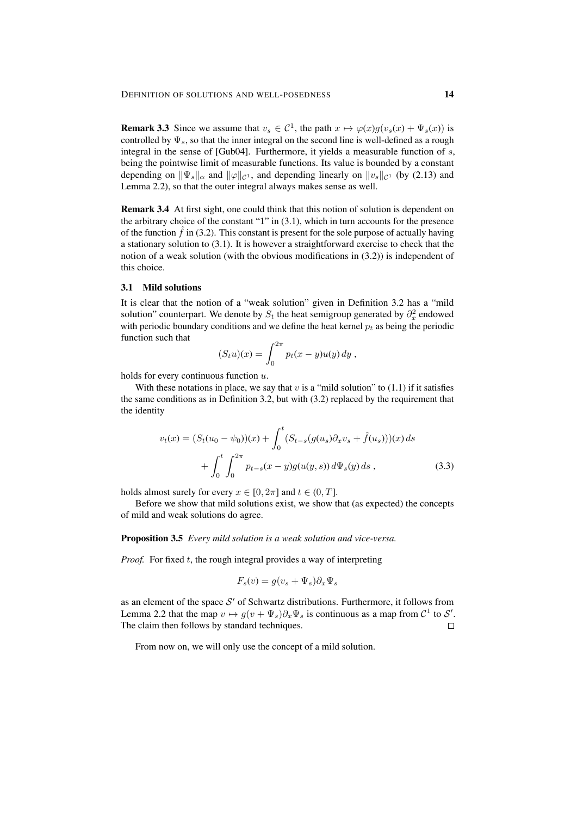**Remark 3.3** Since we assume that  $v_s \in C^1$ , the path  $x \mapsto \varphi(x)g(v_s(x) + \Psi_s(x))$  is controlled by  $\Psi_s$ , so that the inner integral on the second line is well-defined as a rough integral in the sense of [Gub04]. Furthermore, it yields a measurable function of s, being the pointwise limit of measurable functions. Its value is bounded by a constant depending on  $\|\Psi_s\|_{\alpha}$  and  $\|\varphi\|_{\mathcal{C}^1}$ , and depending linearly on  $\|v_s\|_{\mathcal{C}^1}$  (by (2.13) and Lemma 2.2), so that the outer integral always makes sense as well.

Remark 3.4 At first sight, one could think that this notion of solution is dependent on the arbitrary choice of the constant "1" in (3.1), which in turn accounts for the presence of the function  $f$  in (3.2). This constant is present for the sole purpose of actually having a stationary solution to (3.1). It is however a straightforward exercise to check that the notion of a weak solution (with the obvious modifications in (3.2)) is independent of this choice.

#### 3.1 Mild solutions

It is clear that the notion of a "weak solution" given in Definition 3.2 has a "mild solution" counterpart. We denote by  $S_t$  the heat semigroup generated by  $\partial_x^2$  endowed with periodic boundary conditions and we define the heat kernel  $p_t$  as being the periodic function such that

$$
(S_t u)(x) = \int_0^{2\pi} p_t(x - y)u(y) dy,
$$

holds for every continuous function u.

With these notations in place, we say that v is a "mild solution" to  $(1.1)$  if it satisfies the same conditions as in Definition 3.2, but with (3.2) replaced by the requirement that the identity

$$
v_t(x) = (S_t(u_0 - \psi_0))(x) + \int_0^t (S_{t-s}(g(u_s)\partial_x v_s + \hat{f}(u_s)))(x) ds
$$
  
+ 
$$
\int_0^t \int_0^{2\pi} p_{t-s}(x-y)g(u(y,s)) d\Psi_s(y) ds,
$$
 (3.3)

holds almost surely for every  $x \in [0, 2\pi]$  and  $t \in (0, T]$ .

Before we show that mild solutions exist, we show that (as expected) the concepts of mild and weak solutions do agree.

Proposition 3.5 *Every mild solution is a weak solution and vice-versa.*

*Proof.* For fixed t, the rough integral provides a way of interpreting

$$
F_s(v) = g(v_s + \Psi_s)\partial_x\Psi_s
$$

as an element of the space  $S'$  of Schwartz distributions. Furthermore, it follows from Lemma 2.2 that the map  $v \mapsto g(v + \Psi_s)\partial_x\Psi_s$  is continuous as a map from  $\mathcal{C}^1$  to  $\mathcal{S}'$ . The claim then follows by standard techniques.  $\Box$ 

From now on, we will only use the concept of a mild solution.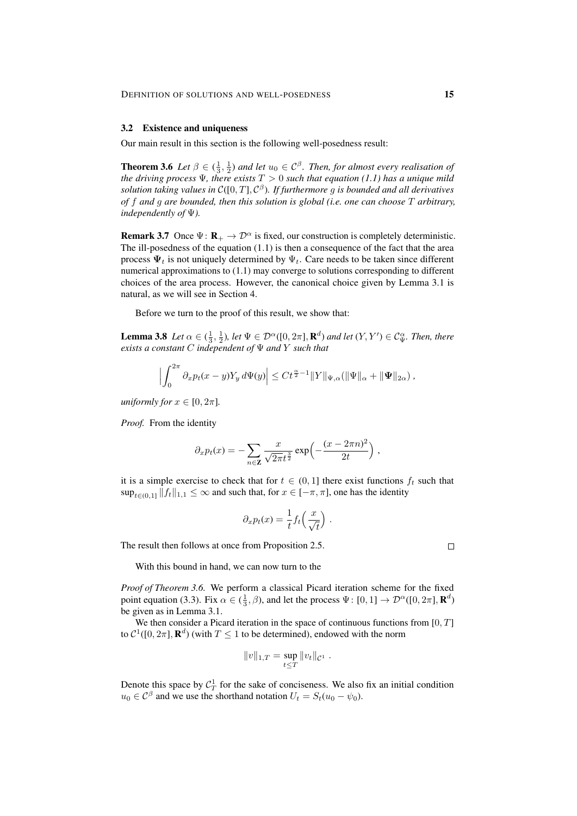## 3.2 Existence and uniqueness

Our main result in this section is the following well-posedness result:

**Theorem 3.6** Let  $\beta \in (\frac{1}{3}, \frac{1}{2})$  and let  $u_0 \in C^{\beta}$ . Then, for almost every realisation of *the driving process* Ψ*, there exists* T > 0 *such that equation (1.1) has a unique mild solution taking values in* C([0, T], C β )*. If furthermore* g *is bounded and all derivatives of* f *and* g *are bounded, then this solution is global (i.e. one can choose* T *arbitrary, independently of* Ψ*).*

**Remark 3.7** Once  $\Psi: \mathbf{R}_{+} \to \mathcal{D}^{\alpha}$  is fixed, our construction is completely deterministic. The ill-posedness of the equation (1.1) is then a consequence of the fact that the area process  $\Psi_t$  is not uniquely determined by  $\Psi_t$ . Care needs to be taken since different numerical approximations to (1.1) may converge to solutions corresponding to different choices of the area process. However, the canonical choice given by Lemma 3.1 is natural, as we will see in Section 4.

Before we turn to the proof of this result, we show that:

**Lemma 3.8** *Let*  $\alpha \in (\frac{1}{3}, \frac{1}{2})$ *, let*  $\Psi \in \mathcal{D}^{\alpha}([0, 2\pi], \mathbf{R}^d)$  *and let*  $(Y, Y') \in C_{\Psi}^{\alpha}$ *. Then, there exists a constant* C *independent of* Ψ *and* Y *such that*

$$
\left|\int_0^{2\pi} \partial_x p_t(x-y) Y_y d\Psi(y)\right| \leq C t^{\frac{\alpha}{2}-1} \|Y\|_{\Psi,\alpha} (\|\Psi\|_{\alpha} + \|\Psi\|_{2\alpha}),
$$

*uniformly for*  $x \in [0, 2\pi]$ *.* 

*Proof.* From the identity

$$
\partial_x p_t(x) = -\sum_{n \in \mathbf{Z}} \frac{x}{\sqrt{2\pi}t^{\frac{3}{2}}} \exp\left(-\frac{(x - 2\pi n)^2}{2t}\right),
$$

it is a simple exercise to check that for  $t \in (0,1]$  there exist functions  $f_t$  such that  $\sup_{t\in(0,1]}\|f_t\|_{1,1}\leq\infty$  and such that, for  $x\in[-\pi,\pi]$ , one has the identity

$$
\partial_x p_t(x) = \frac{1}{t} f_t\left(\frac{x}{\sqrt{t}}\right).
$$

The result then follows at once from Proposition 2.5.

With this bound in hand, we can now turn to the

*Proof of Theorem 3.6.* We perform a classical Picard iteration scheme for the fixed point equation (3.3). Fix  $\alpha \in (\frac{1}{3}, \beta)$ , and let the process  $\Psi : [0, 1] \to \mathcal{D}^{\alpha}([0, 2\pi], \mathbf{R}^d)$ be given as in Lemma 3.1.

We then consider a Picard iteration in the space of continuous functions from  $[0, T]$ to  $C^1([0, 2\pi], \mathbf{R}^d)$  (with  $T \leq 1$  to be determined), endowed with the norm

$$
||v||_{1,T} = \sup_{t \leq T} ||v_t||_{\mathcal{C}^1}.
$$

Denote this space by  $C_T^1$  for the sake of conciseness. We also fix an initial condition  $u_0 \in C^{\beta}$  and we use the shorthand notation  $U_t = S_t(u_0 - \psi_0)$ .

 $\Box$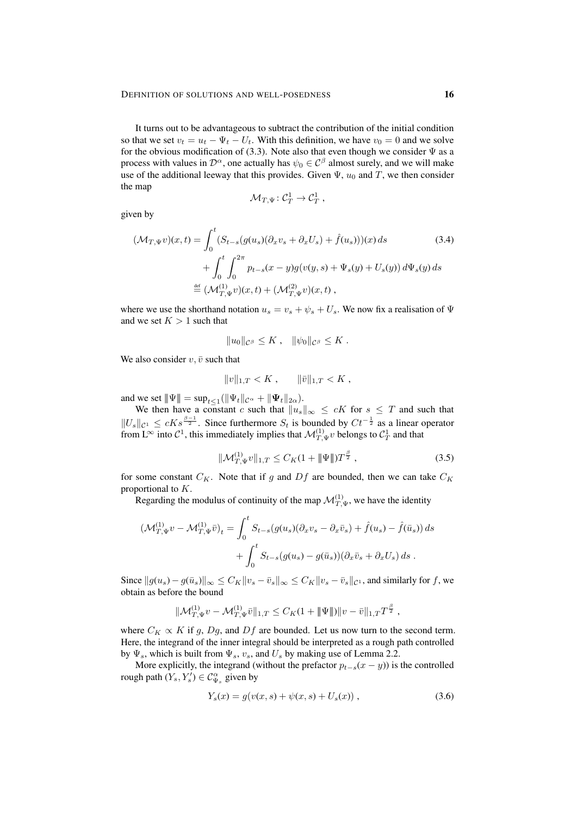It turns out to be advantageous to subtract the contribution of the initial condition so that we set  $v_t = u_t - \Psi_t - U_t$ . With this definition, we have  $v_0 = 0$  and we solve for the obvious modification of (3.3). Note also that even though we consider  $\Psi$  as a process with values in  $\mathcal{D}^{\alpha}$ , one actually has  $\psi_0 \in \mathcal{C}^{\beta}$  almost surely, and we will make use of the additional leeway that this provides. Given  $\Psi$ ,  $u_0$  and T, we then consider the map

$$
\mathcal{M}_{T,\Psi} \colon \mathcal{C}^1_T \to \mathcal{C}^1_T \;,
$$

given by

$$
(\mathcal{M}_{T,\Psi}v)(x,t) = \int_0^t (S_{t-s}(g(u_s)(\partial_x v_s + \partial_x U_s) + \hat{f}(u_s)))(x) ds
$$
(3.4)  
+ 
$$
\int_0^t \int_0^{2\pi} p_{t-s}(x-y)g(v(y,s) + \Psi_s(y) + U_s(y)) d\Psi_s(y) ds
$$
  

$$
\stackrel{\text{def}}{=} (\mathcal{M}_{T,\Psi}^{(1)}v)(x,t) + (\mathcal{M}_{T,\Psi}^{(2)}v)(x,t),
$$

where we use the shorthand notation  $u_s = v_s + \psi_s + U_s$ . We now fix a realisation of  $\Psi$ and we set  $K > 1$  such that

$$
||u_0||_{\mathcal{C}^\beta}\leq K\ ,\quad ||\psi_0||_{\mathcal{C}^\beta}\leq K\ .
$$

We also consider  $v, \bar{v}$  such that

$$
||v||_{1,T} < K \,, \qquad ||\bar{v}||_{1,T} < K \,,
$$

and we set  $\|\Psi\| = \sup_{t \leq 1} (\|\Psi_t\|_{\mathcal{C}^{\alpha}} + \|\Psi_t\|_{2\alpha}).$ 

We then have a constant c such that  $||u_s||_{\infty} \leq cK$  for  $s \leq T$  and such that  $||U_s||_{\mathcal{C}^1} \leq cKs^{\frac{\beta-1}{2}}$ . Since furthermore  $S_t$  is bounded by  $Ct^{-\frac{1}{2}}$  as a linear operator from L<sup>∞</sup> into  $C^1$ , this immediately implies that  $\mathcal{M}_{T,\Psi}^{(1)}v$  belongs to  $C_T^1$  and that

$$
\|\mathcal{M}_{T,\Psi}^{(1)}v\|_{1,T} \le C_K(1 + \|\Psi\|)T^{\frac{\beta}{2}},\tag{3.5}
$$

for some constant  $C_K$ . Note that if g and  $Df$  are bounded, then we can take  $C_K$ proportional to K.

Regarding the modulus of continuity of the map  $\mathcal{M}_{T,\Psi}^{(1)}$ , we have the identity

$$
\begin{aligned} \left(\mathcal{M}_{T,\Psi}^{(1)}v - \mathcal{M}_{T,\Psi}^{(1)}\bar{v}\right)_t &= \int_0^t S_{t-s}(g(u_s)(\partial_x v_s - \partial_x \bar{v}_s) + \hat{f}(u_s) - \hat{f}(\bar{u}_s)) \, ds \\ &+ \int_0^t S_{t-s}(g(u_s) - g(\bar{u}_s))(\partial_x \bar{v}_s + \partial_x U_s) \, ds \; . \end{aligned}
$$

Since  $||g(u_s) - g(\bar{u}_s)||_{\infty} \leq C_K ||v_s - \bar{v}_s||_{\infty} \leq C_K ||v_s - \bar{v}_s||_{\mathcal{C}^1}$ , and similarly for f, we obtain as before the bound

$$
\|\mathcal{M}_{T,\Psi}^{(1)}v - \mathcal{M}_{T,\Psi}^{(1)}\bar{v}\|_{1,T} \leq C_K(1 + \|\Psi\|) \|v - \bar{v}\|_{1,T} T^{\frac{\beta}{2}},
$$

where  $C_K \propto K$  if g, Dg, and Df are bounded. Let us now turn to the second term. Here, the integrand of the inner integral should be interpreted as a rough path controlled by  $\Psi_s$ , which is built from  $\Psi_s$ ,  $v_s$ , and  $U_s$  by making use of Lemma 2.2.

More explicitly, the integrand (without the prefactor  $p_{t-s}(x - y)$ ) is the controlled rough path  $(Y_s, Y'_s) \in C_{\Psi_s}^{\alpha}$  given by

$$
Y_s(x) = g(v(x, s) + \psi(x, s) + U_s(x)),
$$
\n(3.6)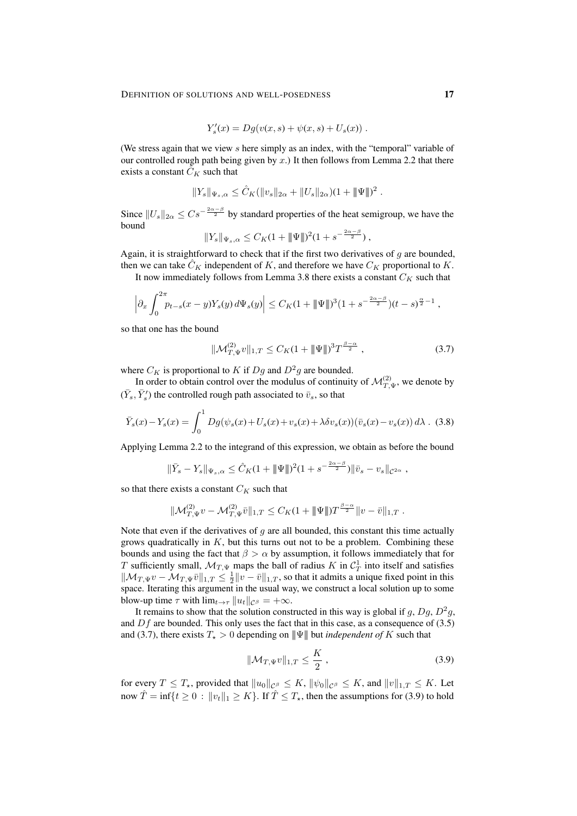$$
Y'_{s}(x) = Dg(v(x, s) + \psi(x, s) + U_{s}(x)).
$$

(We stress again that we view  $s$  here simply as an index, with the "temporal" variable of our controlled rough path being given by  $x$ .) It then follows from Lemma 2.2 that there exists a constant  $\ddot{C}_K$  such that

$$
||Y_s||_{\Psi_s,\alpha} \leq \hat{C}_K(||v_s||_{2\alpha} + ||U_s||_{2\alpha})(1 + ||\Psi||)^2.
$$

Since  $||U_s||_{2\alpha} \leq Cs^{-\frac{2\alpha-\beta}{2}}$  by standard properties of the heat semigroup, we have the bound

$$
||Y_s||_{\Psi_s,\alpha} \leq C_K(1+\|\Psi\|)^2(1+s^{-\frac{2\alpha-\beta}{2}}),
$$

Again, it is straightforward to check that if the first two derivatives of  $g$  are bounded, then we can take  $\tilde{C}_K$  independent of K, and therefore we have  $C_K$  proportional to K.

It now immediately follows from Lemma 3.8 there exists a constant  $C_K$  such that

$$
\left|\partial_x \int_0^{2\pi} p_{t-s}(x-y)Y_s(y)\,d\Psi_s(y)\right| \leq C_K(1+\|\Psi\|)^3(1+s^{-\frac{2\alpha-\beta}{2}})(t-s)^{\frac{\alpha}{2}-1},
$$

so that one has the bound

$$
\|\mathcal{M}_{T,\Psi}^{(2)}v\|_{1,T} \le C_K (1 + \|\Psi\|)^3 T^{\frac{\beta-\alpha}{2}}, \qquad (3.7)
$$

where  $C_K$  is proportional to K if  $Dg$  and  $D^2g$  are bounded.

In order to obtain control over the modulus of continuity of  $\mathcal{M}_{T,\Psi}^{(2)}$ , we denote by  $(\bar{Y}_s, \bar{Y}'_s)$  the controlled rough path associated to  $\bar{v}_s$ , so that

$$
\bar{Y}_s(x) - Y_s(x) = \int_0^1 Dg(\psi_s(x) + U_s(x) + v_s(x) + \lambda \delta v_s(x))(\bar{v}_s(x) - v_s(x)) d\lambda
$$
 (3.8)

Applying Lemma 2.2 to the integrand of this expression, we obtain as before the bound

$$
\|\bar{Y}_s - Y_s\|_{\Psi_s, \alpha} \leq \hat{C}_K (1 + \|\Psi\|)^2 (1 + s^{-\frac{2\alpha - \beta}{2}}) \|\bar{v}_s - v_s\|_{\mathcal{C}^{2\alpha}},
$$

so that there exists a constant  $C_K$  such that

$$
\|\mathcal{M}_{T,\Psi}^{(2)}v - \mathcal{M}_{T,\Psi}^{(2)}\bar{v}\|_{1,T} \leq C_K(1 + \|\Psi\|)T^{\frac{\beta-\alpha}{2}}\|v - \bar{v}\|_{1,T}.
$$

Note that even if the derivatives of  $g$  are all bounded, this constant this time actually grows quadratically in  $K$ , but this turns out not to be a problem. Combining these bounds and using the fact that  $\beta > \alpha$  by assumption, it follows immediately that for T sufficiently small,  $\mathcal{M}_{T,\Psi}$  maps the ball of radius K in  $\mathcal{C}_T^1$  into itself and satisfies  $\|\mathcal{M}_{T,\Psi}v - \mathcal{M}_{T,\Psi}\bar{v}\|_{1,T} \leq \frac{1}{2} \|v - \bar{v}\|_{1,T}$ , so that it admits a unique fixed point in this space. Iterating this argument in the usual way, we construct a local solution up to some blow-up time  $\tau$  with  $\lim_{t\to\tau}||u_t||_{\mathcal{C}^{\beta}} = +\infty$ .

It remains to show that the solution constructed in this way is global if g,  $Dg$ ,  $D^2g$ , and  $Df$  are bounded. This only uses the fact that in this case, as a consequence of (3.5) and (3.7), there exists  $T_{\star} > 0$  depending on  $\|\Psi\|$  but *independent of* K such that

$$
\|\mathcal{M}_{T,\Psi}v\|_{1,T} \le \frac{K}{2},\tag{3.9}
$$

for every  $T \leq T_{\star}$ , provided that  $||u_0||_{C^{\beta}} \leq K$ ,  $||\psi_0||_{C^{\beta}} \leq K$ , and  $||v||_{1,T} \leq K$ . Let now  $\hat{T} = \inf\{t > 0 : ||v_t||_1 > K\}$ . If  $\hat{T} < T_*$ , then the assumptions for (3.9) to hold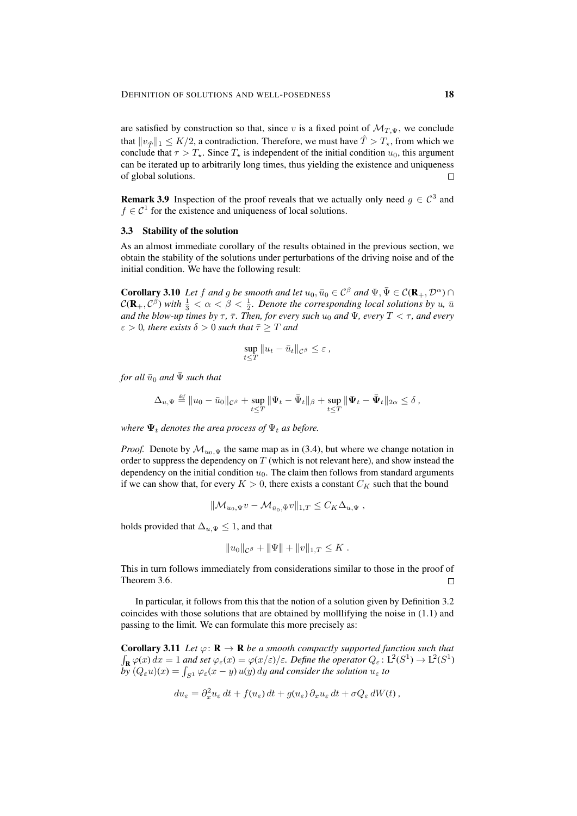are satisfied by construction so that, since v is a fixed point of  $\mathcal{M}_{T,\Psi}$ , we conclude that  $||v_{\hat{T}}||_1 \leq K/2$ , a contradiction. Therefore, we must have  $\hat{T} > T_{\star}$ , from which we conclude that  $\tau > T_{\star}$ . Since  $T_{\star}$  is independent of the initial condition  $u_0$ , this argument can be iterated up to arbitrarily long times, thus yielding the existence and uniqueness of global solutions.  $\Box$ 

**Remark 3.9** Inspection of the proof reveals that we actually only need  $g \in C^3$  and  $f \in \mathcal{C}^1$  for the existence and uniqueness of local solutions.

## 3.3 Stability of the solution

As an almost immediate corollary of the results obtained in the previous section, we obtain the stability of the solutions under perturbations of the driving noise and of the initial condition. We have the following result:

**Corollary 3.10** *Let* f and g be smooth and let  $u_0, \bar{u}_0 \in C^\beta$  and  $\Psi, \bar{\Psi} \in C(\mathbf{R}_+, \mathcal{D}^\alpha) \cap C$  $\mathcal{C}(\mathbf{R}_+,\mathcal{C}^\beta)$  with  $\frac{1}{3}<\alpha<\beta<\frac{1}{2}$ . Denote the corresponding local solutions by u,  $\bar{u}$ *and the blow-up times by*  $\tau$ ,  $\bar{\tau}$ *. Then, for every such*  $u_0$  *and*  $\Psi$ *, every*  $T < \tau$ *, and every*  $\varepsilon > 0$ , there exists  $\delta > 0$  such that  $\bar{\tau} \geq T$  and

$$
\sup_{t\leq T} \|u_t - \bar{u}_t\|_{\mathcal{C}^\beta} \leq \varepsilon,
$$

*for all*  $\bar{u}_0$  *and*  $\bar{\Psi}$  *such that* 

$$
\Delta_{u,\Psi}\stackrel{\text{\tiny def}}{=} \|u_0-\bar{u}_0\|_{\mathcal{C}^\beta}+\sup_{t\leq T}\|\Psi_t-\bar{\Psi}_t\|_\beta+\sup_{t\leq T}\|\Psi_t-\bar{\Psi}_t\|_{2\alpha}\leq \delta,
$$

*where*  $\Psi_t$  *denotes the area process of*  $\Psi_t$  *as before.* 

*Proof.* Denote by  $\mathcal{M}_{u_0,\Psi}$  the same map as in (3.4), but where we change notation in order to suppress the dependency on  $T$  (which is not relevant here), and show instead the dependency on the initial condition  $u_0$ . The claim then follows from standard arguments if we can show that, for every  $K > 0$ , there exists a constant  $C_K$  such that the bound

$$
\|\mathcal{M}_{u_0,\Psi}v - \mathcal{M}_{\bar{u}_0,\Psi}v\|_{1,T} \leq C_K\Delta_{u,\Psi},
$$

holds provided that  $\Delta_{u,\Psi} \leq 1$ , and that

$$
||u_0||_{\mathcal{C}^\beta} + ||\Psi|| + ||v||_{1,T} \leq K.
$$

This in turn follows immediately from considerations similar to those in the proof of Theorem 3.6.  $\Box$ 

In particular, it follows from this that the notion of a solution given by Definition 3.2 coincides with those solutions that are obtained by molllifying the noise in (1.1) and passing to the limit. We can formulate this more precisely as:

**Corollary 3.11** *Let*  $\varphi$ :  $\mathbf{R} \to \mathbf{R}$  *be a smooth compactly supported function such that*  $\int_{\mathbf{R}} \varphi(x) dx = 1$  and set  $\varphi_{\varepsilon}(x) = \varphi(x/\varepsilon)/\varepsilon$ . Define the operator  $Q_{\varepsilon} : L^{2}(S^{1}) \to L^{2}(S^{1})$  $b\bar{y}$   $(Q_\varepsilon u)(x) = \int_{S^1} \varphi_\varepsilon(x-y) u(y) dy$  and consider the solution  $u_\varepsilon$  to

$$
du_{\varepsilon} = \partial_x^2 u_{\varepsilon} dt + f(u_{\varepsilon}) dt + g(u_{\varepsilon}) \partial_x u_{\varepsilon} dt + \sigma Q_{\varepsilon} dW(t),
$$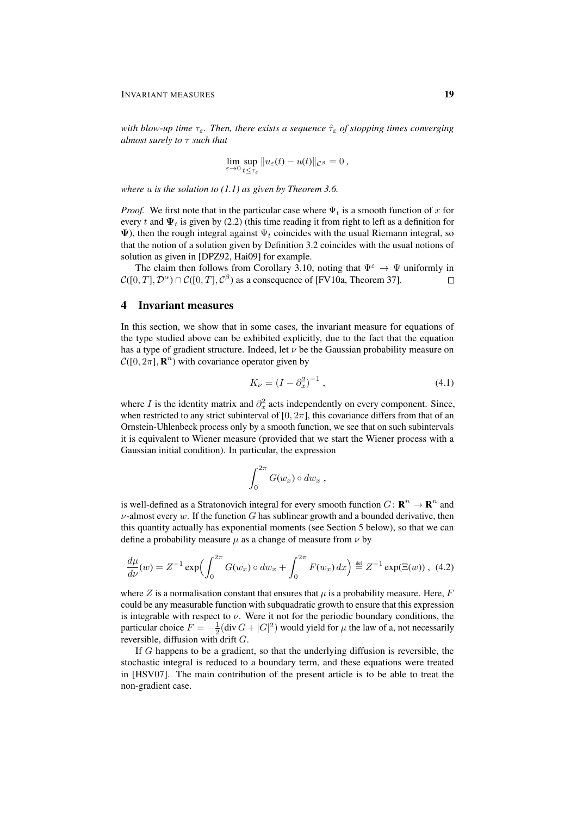*with blow-up time*  $τ_ε$ *. Then, there exists a sequence*  $\hat{τ}_ε$  *of stopping times converging almost surely to* τ *such that*

$$
\lim_{\varepsilon \to 0} \sup_{t \le \tau_{\varepsilon}} ||u_{\varepsilon}(t) - u(t)||_{\mathcal{C}^{\beta}} = 0,
$$

*where* u *is the solution to (1.1) as given by Theorem 3.6.*

*Proof.* We first note that in the particular case where  $\Psi_t$  is a smooth function of x for every t and  $\Psi_t$  is given by (2.2) (this time reading it from right to left as a definition for  $\Psi$ ), then the rough integral against  $\Psi_t$  coincides with the usual Riemann integral, so that the notion of a solution given by Definition 3.2 coincides with the usual notions of solution as given in [DPZ92, Hai09] for example.

The claim then follows from Corollary 3.10, noting that  $\Psi^{\varepsilon} \to \Psi$  uniformly in  $\mathcal{C}([0,T],\mathcal{D}^{\alpha})\cap\mathcal{C}([0,T],\mathcal{C}^{\beta})$  as a consequence of [FV10a, Theorem 37].  $\Box$ 

# 4 Invariant measures

In this section, we show that in some cases, the invariant measure for equations of the type studied above can be exhibited explicitly, due to the fact that the equation has a type of gradient structure. Indeed, let  $\nu$  be the Gaussian probability measure on  $\mathcal{C}([0, 2\pi], \mathbf{R}^n)$  with covariance operator given by

$$
K_{\nu} = (I - \partial_x^2)^{-1}, \tag{4.1}
$$

where I is the identity matrix and  $\partial_x^2$  acts independently on every component. Since, when restricted to any strict subinterval of  $[0, 2\pi]$ , this covariance differs from that of an Ornstein-Uhlenbeck process only by a smooth function, we see that on such subintervals it is equivalent to Wiener measure (provided that we start the Wiener process with a Gaussian initial condition). In particular, the expression

$$
\int_0^{2\pi} G(w_x) \circ dw_x ,
$$

is well-defined as a Stratonovich integral for every smooth function  $G \colon \mathbf{R}^n \to \mathbf{R}^n$  and  $\nu$ -almost every w. If the function G has sublinear growth and a bounded derivative, then this quantity actually has exponential moments (see Section 5 below), so that we can define a probability measure  $\mu$  as a change of measure from  $\nu$  by

$$
\frac{d\mu}{d\nu}(w) = Z^{-1} \exp\left(\int_0^{2\pi} G(w_x) \circ dw_x + \int_0^{2\pi} F(w_x) \, dx\right) \stackrel{\text{def}}{=} Z^{-1} \exp(\Xi(w)), \tag{4.2}
$$

where Z is a normalisation constant that ensures that  $\mu$  is a probability measure. Here, F could be any measurable function with subquadratic growth to ensure that this expression is integrable with respect to  $\nu$ . Were it not for the periodic boundary conditions, the particular choice  $F = -\frac{1}{2}$ (div  $G + |G|^2$ ) would yield for  $\mu$  the law of a, not necessarily reversible, diffusion with drift G.

If G happens to be a gradient, so that the underlying diffusion is reversible, the stochastic integral is reduced to a boundary term, and these equations were treated in [HSV07]. The main contribution of the present article is to be able to treat the non-gradient case.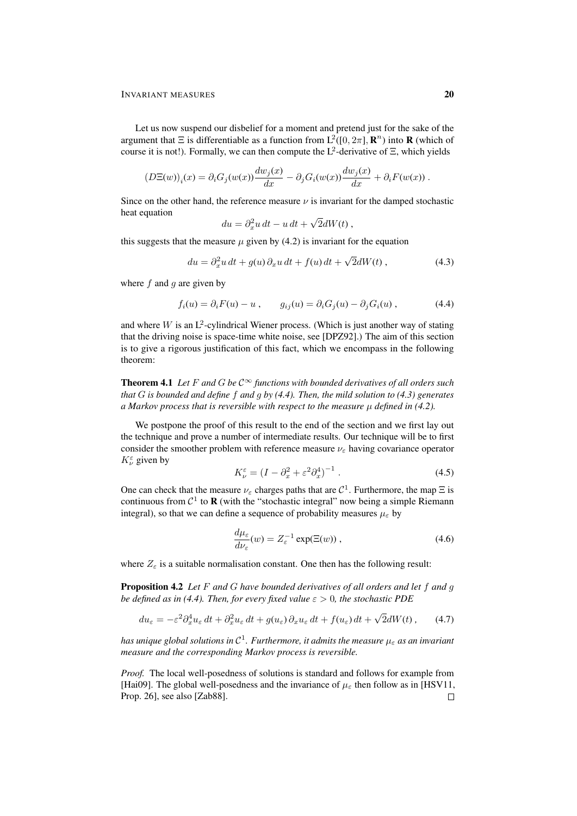Let us now suspend our disbelief for a moment and pretend just for the sake of the argument that  $\Xi$  is differentiable as a function from  $L^2([0, 2\pi], \mathbb{R}^n)$  into **R** (which of course it is not!). Formally, we can then compute the  $L^2$ -derivative of  $\Xi$ , which yields

$$
(D\Xi(w))_i(x) = \partial_i G_j(w(x)) \frac{dw_j(x)}{dx} - \partial_j G_i(w(x)) \frac{dw_j(x)}{dx} + \partial_i F(w(x)).
$$

Since on the other hand, the reference measure  $\nu$  is invariant for the damped stochastic heat equation √

$$
du = \partial_x^2 u \, dt - u \, dt + \sqrt{2} dW(t) \,,
$$

this suggests that the measure  $\mu$  given by (4.2) is invariant for the equation

$$
du = \partial_x^2 u \, dt + g(u) \, \partial_x u \, dt + f(u) \, dt + \sqrt{2} dW(t) \,, \tag{4.3}
$$

where  $f$  and  $g$  are given by

$$
f_i(u) = \partial_i F(u) - u , \qquad g_{ij}(u) = \partial_i G_j(u) - \partial_j G_i(u) , \qquad (4.4)
$$

and where  $W$  is an  $L^2$ -cylindrical Wiener process. (Which is just another way of stating that the driving noise is space-time white noise, see [DPZ92].) The aim of this section is to give a rigorous justification of this fact, which we encompass in the following theorem:

**Theorem 4.1** Let F and G be  $C^{\infty}$  functions with bounded derivatives of all orders such *that* G *is bounded and define* f *and* g *by (4.4). Then, the mild solution to (4.3) generates a Markov process that is reversible with respect to the measure* µ *defined in (4.2).*

We postpone the proof of this result to the end of the section and we first lay out the technique and prove a number of intermediate results. Our technique will be to first consider the smoother problem with reference measure  $\nu_{\varepsilon}$  having covariance operator  $K^{\varepsilon}_{\nu}$  given by

$$
K_{\nu}^{\varepsilon} = (I - \partial_x^2 + \varepsilon^2 \partial_x^4)^{-1} . \tag{4.5}
$$

One can check that the measure  $\nu_{\varepsilon}$  charges paths that are  $\mathcal{C}^1$ . Furthermore, the map  $\Xi$  is continuous from  $C^1$  to **R** (with the "stochastic integral" now being a simple Riemann integral), so that we can define a sequence of probability measures  $\mu_{\varepsilon}$  by

$$
\frac{d\mu_{\varepsilon}}{d\nu_{\varepsilon}}(w) = Z_{\varepsilon}^{-1} \exp(\Xi(w)), \qquad (4.6)
$$

where  $Z_{\varepsilon}$  is a suitable normalisation constant. One then has the following result:

Proposition 4.2 *Let* F *and* G *have bounded derivatives of all orders and let* f *and* g *be defined as in (4.4). Then, for every fixed value*  $\varepsilon > 0$ *, the stochastic PDE* 

$$
du_{\varepsilon} = -\varepsilon^2 \partial_x^4 u_{\varepsilon} dt + \partial_x^2 u_{\varepsilon} dt + g(u_{\varepsilon}) \partial_x u_{\varepsilon} dt + f(u_{\varepsilon}) dt + \sqrt{2} dW(t), \qquad (4.7)
$$

*has unique global solutions in* C 1 *. Furthermore, it admits the measure* µ<sup>ε</sup> *as an invariant measure and the corresponding Markov process is reversible.*

*Proof.* The local well-posedness of solutions is standard and follows for example from [Hai09]. The global well-posedness and the invariance of  $\mu_{\varepsilon}$  then follow as in [HSV11, Prop. 26], see also [Zab88]. $\Box$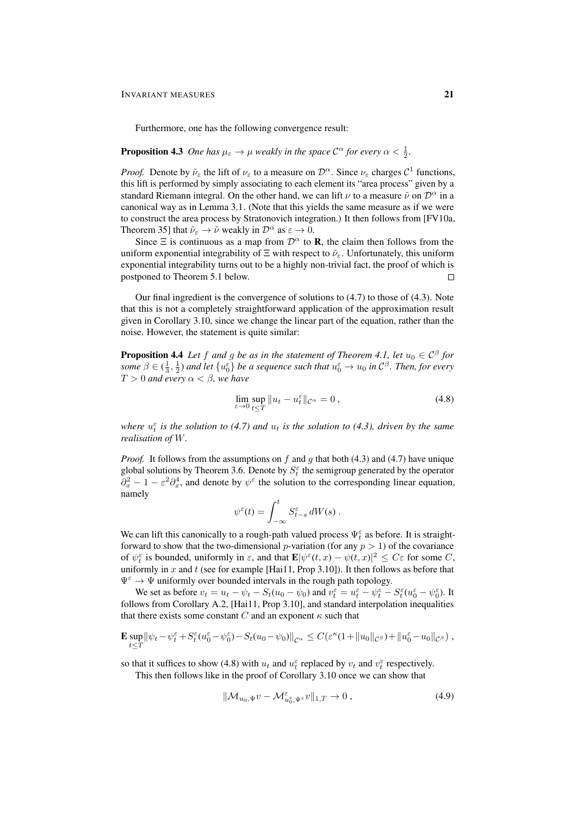Furthermore, one has the following convergence result:

# **Proposition 4.3** One has  $\mu_{\varepsilon} \to \mu$  weakly in the space  $\mathcal{C}^{\alpha}$  for every  $\alpha < \frac{1}{2}$ .

*Proof.* Denote by  $\tilde{\nu}_{\varepsilon}$  the lift of  $\nu_{\varepsilon}$  to a measure on  $\mathcal{D}^{\alpha}$ . Since  $\nu_{\varepsilon}$  charges  $\mathcal{C}^1$  functions, this lift is performed by simply associating to each element its "area process" given by a standard Riemann integral. On the other hand, we can lift  $\nu$  to a measure  $\tilde{\nu}$  on  $\mathcal{D}^{\alpha}$  in a canonical way as in Lemma 3.1. (Note that this yields the same measure as if we were to construct the area process by Stratonovich integration.) It then follows from [FV10a, Theorem 35] that  $\tilde{\nu}_{\varepsilon} \to \tilde{\nu}$  weakly in  $\mathcal{D}^{\alpha}$  as  $\varepsilon \to 0$ .

Since  $\Xi$  is continuous as a map from  $\mathcal{D}^{\alpha}$  to **R**, the claim then follows from the uniform exponential integrability of  $\Xi$  with respect to  $\tilde{\nu}_{\epsilon}$ . Unfortunately, this uniform exponential integrability turns out to be a highly non-trivial fact, the proof of which is postponed to Theorem 5.1 below.

Our final ingredient is the convergence of solutions to (4.7) to those of (4.3). Note that this is not a completely straightforward application of the approximation result given in Corollary 3.10, since we change the linear part of the equation, rather than the noise. However, the statement is quite similar:

**Proposition 4.4** Let f and g be as in the statement of Theorem 4.1, let  $u_0 \in C^{\beta}$  for *some*  $\beta \in (\frac{1}{3}, \frac{1}{2})$  and let  $\{u_0^{\varepsilon}\}\$  be a sequence such that  $u_0^{\varepsilon} \to u_0$  in  $\mathcal{C}^{\beta}$ . Then, for every  $T > 0$  and every  $\alpha < \beta$ , we have

$$
\lim_{\varepsilon \to 0} \sup_{t \le T} \|u_t - u_t^{\varepsilon}\|_{\mathcal{C}^{\alpha}} = 0, \tag{4.8}
$$

where  $u_t^{\varepsilon}$  *is the solution to (4.7) and*  $u_t$  *is the solution to (4.3), driven by the same realisation of* W*.*

*Proof.* It follows from the assumptions on f and g that both (4.3) and (4.7) have unique global solutions by Theorem 3.6. Denote by  $S_t^{\varepsilon}$  the semigroup generated by the operator  $\partial_x^2 - 1 - \varepsilon^2 \partial_x^4$ , and denote by  $\psi^{\varepsilon}$  the solution to the corresponding linear equation, namely

$$
\psi^{\varepsilon}(t) = \int_{-\infty}^{t} S_{t-s}^{\varepsilon} dW(s) .
$$

We can lift this canonically to a rough-path valued process  $\Psi_t^{\varepsilon}$  as before. It is straightforward to show that the two-dimensional *p*-variation (for any  $p > 1$ ) of the covariance of  $\psi_t^{\varepsilon}$  is bounded, uniformly in  $\varepsilon$ , and that  $\mathbf{E}|\psi^{\varepsilon}(t,x) - \psi(t,x)|^2 \leq C\varepsilon$  for some C, uniformly in  $x$  and  $t$  (see for example [Hai11, Prop 3.10]). It then follows as before that  $\Psi^{\varepsilon} \to \Psi$  uniformly over bounded intervals in the rough path topology.

We set as before  $v_t = u_t - \psi_t - S_t(u_0 - \psi_0)$  and  $v_t^{\varepsilon} = u_t^{\varepsilon} - \psi_t^{\varepsilon} - S_t^{\varepsilon}(u_0^{\varepsilon} - \psi_0^{\varepsilon})$ . It follows from Corollary A.2, [Hai11, Prop 3.10], and standard interpolation inequalities that there exists some constant  $C$  and an exponent  $\kappa$  such that

$$
\mathbf{E} \sup_{t \leq T} \|\psi_t - \psi_t^{\varepsilon} + S_t^{\varepsilon} (u_0^{\varepsilon} - \psi_0^{\varepsilon}) - S_t (u_0 - \psi_0) \|_{\mathcal{C}^{\alpha}} \leq C (\varepsilon^{\kappa} (1 + \|u_0\|_{\mathcal{C}^{\beta}}) + \|u_0^{\varepsilon} - u_0\|_{\mathcal{C}^{\beta}}),
$$

so that it suffices to show (4.8) with  $u_t$  and  $u_t^{\epsilon}$  replaced by  $v_t$  and  $v_t^{\epsilon}$  respectively.

This then follows like in the proof of Corollary 3.10 once we can show that

$$
\|\mathcal{M}_{u_0,\Psi}v - \mathcal{M}_{u_0,\Psi}^{\varepsilon}v\|_{1,T} \to 0 ,\qquad (4.9)
$$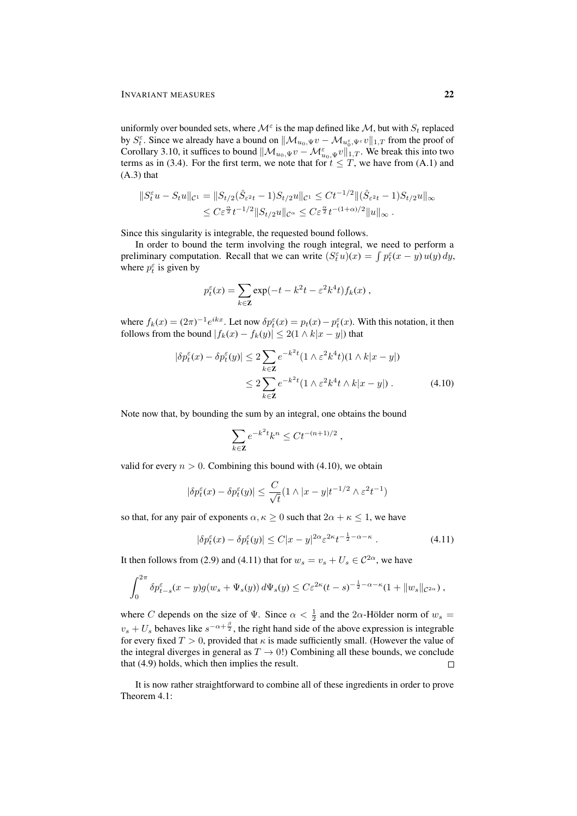uniformly over bounded sets, where  $\mathcal{M}^{\varepsilon}$  is the map defined like  $\mathcal{M}$ , but with  $S_t$  replaced by  $S_t^{\varepsilon}$ . Since we already have a bound on  $\|\mathcal{M}_{u_0,\Psi}v - \mathcal{M}_{u_0^{\varepsilon},\Psi^{\varepsilon}}v\|_{1,T}$  from the proof of Corollary 3.10, it suffices to bound  $||\mathcal{M}_{u_0,\Psi}v - \mathcal{M}_{u_0,\Psi}^{\varepsilon}v||_{1,T}$ . We break this into two terms as in (3.4). For the first term, we note that for  $t \leq T$ , we have from (A.1) and (A.3) that

$$
||S_t^{\varepsilon}u - S_t u||_{\mathcal{C}^1} = ||S_{t/2}(\hat{S}_{\varepsilon^2 t} - 1)S_{t/2}u||_{\mathcal{C}^1} \le Ct^{-1/2} ||(\hat{S}_{\varepsilon^2 t} - 1)S_{t/2}u||_{\infty}
$$
  

$$
\le C\varepsilon^{\frac{\alpha}{2}}t^{-1/2}||S_{t/2}u||_{\mathcal{C}^{\alpha}} \le C\varepsilon^{\frac{\alpha}{2}}t^{-(1+\alpha)/2}||u||_{\infty}.
$$

Since this singularity is integrable, the requested bound follows.

In order to bound the term involving the rough integral, we need to perform a preliminary computation. Recall that we can write  $(S_t^{\varepsilon} u)(x) = \int p_t^{\varepsilon} (x - y) u(y) dy$ , where  $p_t^{\varepsilon}$  is given by

$$
p_t^{\varepsilon}(x) = \sum_{k \in \mathbf{Z}} \exp(-t - k^2 t - \varepsilon^2 k^4 t) f_k(x) ,
$$

where  $f_k(x) = (2\pi)^{-1} e^{ikx}$ . Let now  $\delta p_t^{\epsilon}(x) = p_t(x) - p_t^{\epsilon}(x)$ . With this notation, it then follows from the bound  $|f_k(x) - f_k(y)| \leq 2(1 \wedge k|x - y|)$  that

$$
|\delta p_t^{\varepsilon}(x) - \delta p_t^{\varepsilon}(y)| \le 2 \sum_{k \in \mathbb{Z}} e^{-k^2 t} (1 \wedge \varepsilon^2 k^4 t)(1 \wedge k |x - y|)
$$
  
 
$$
\le 2 \sum_{k \in \mathbb{Z}} e^{-k^2 t} (1 \wedge \varepsilon^2 k^4 t \wedge k |x - y|) . \tag{4.10}
$$

Note now that, by bounding the sum by an integral, one obtains the bound

$$
\sum_{k\in\mathbf{Z}}e^{-k^2t}k^n\leq Ct^{-(n+1)/2}
$$

valid for every  $n > 0$ . Combining this bound with (4.10), we obtain

$$
|\delta p_t^{\varepsilon}(x) - \delta p_t^{\varepsilon}(y)| \le \frac{C}{\sqrt{t}} (1 \wedge |x - y|t^{-1/2} \wedge \varepsilon^2 t^{-1})
$$

so that, for any pair of exponents  $\alpha, \kappa \geq 0$  such that  $2\alpha + \kappa \leq 1$ , we have

$$
|\delta p_t^{\varepsilon}(x) - \delta p_t^{\varepsilon}(y)| \le C|x - y|^{2\alpha} \varepsilon^{2\kappa} t^{-\frac{1}{2} - \alpha - \kappa} \tag{4.11}
$$

,

It then follows from (2.9) and (4.11) that for  $w_s = v_s + U_s \in C^{2\alpha}$ , we have

$$
\int_0^{2\pi} \delta p_{t-s}^\varepsilon(x-y) g(w_s + \Psi_s(y)) d\Psi_s(y) \leq C \varepsilon^{2\kappa} (t-s)^{-\frac{1}{2}-\alpha-\kappa} (1+\|w_s\|_{\mathcal{C}^{2\alpha}}),
$$

where C depends on the size of  $\Psi$ . Since  $\alpha < \frac{1}{2}$  and the 2 $\alpha$ -Hölder norm of  $w_s$  =  $v_s + U_s$  behaves like  $s^{-\alpha + \frac{\beta}{2}}$ , the right hand side of the above expression is integrable for every fixed  $T > 0$ , provided that  $\kappa$  is made sufficiently small. (However the value of the integral diverges in general as  $T \to 0$ !) Combining all these bounds, we conclude that (4.9) holds, which then implies the result.  $\Box$ 

It is now rather straightforward to combine all of these ingredients in order to prove Theorem 4.1: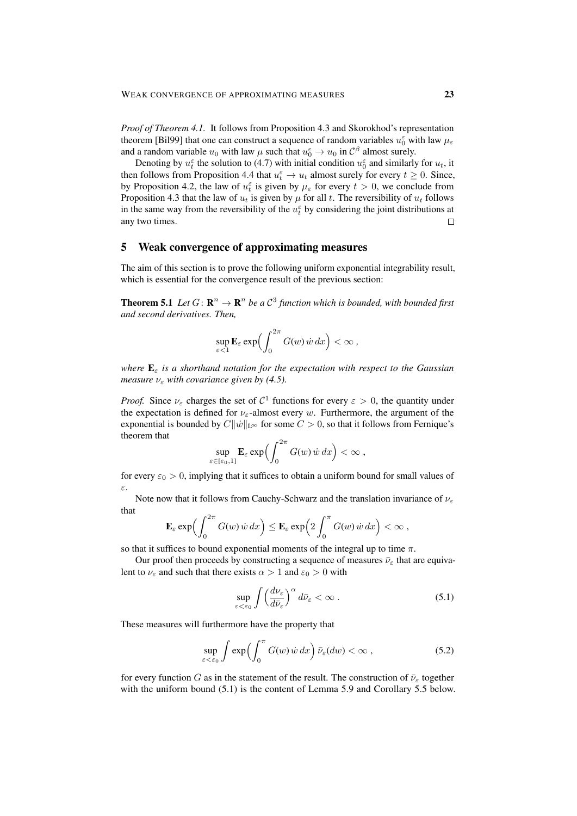*Proof of Theorem 4.1.* It follows from Proposition 4.3 and Skorokhod's representation theorem [Bil99] that one can construct a sequence of random variables  $u_0^{\varepsilon}$  with law  $\mu_{\varepsilon}$ and a random variable  $u_0$  with law  $\mu$  such that  $u_0^{\varepsilon} \to u_0$  in  $\mathcal{C}^{\beta}$  almost surely.

Denoting by  $u_t^{\varepsilon}$  the solution to (4.7) with initial condition  $u_0^{\varepsilon}$  and similarly for  $u_t$ , it then follows from Proposition 4.4 that  $u_t^{\varepsilon} \to u_t$  almost surely for every  $t \geq 0$ . Since, by Proposition 4.2, the law of  $u_t^{\varepsilon}$  is given by  $\mu_{\varepsilon}$  for every  $t > 0$ , we conclude from Proposition 4.3 that the law of  $u_t$  is given by  $\mu$  for all t. The reversibility of  $u_t$  follows in the same way from the reversibility of the  $u_t^{\varepsilon}$  by considering the joint distributions at any two times.  $\Box$ 

# 5 Weak convergence of approximating measures

The aim of this section is to prove the following uniform exponential integrability result, which is essential for the convergence result of the previous section:

**Theorem 5.1** Let  $G: \mathbb{R}^n \to \mathbb{R}^n$  be a  $\mathcal{C}^3$  function which is bounded, with bounded first *and second derivatives. Then,*

$$
\sup_{\varepsilon < 1} \mathbf{E}_{\varepsilon} \exp \left( \int_0^{2\pi} G(w) \, \dot{w} \, dx \right) < \infty \, ,
$$

*where*  $\mathbf{E}_{\varepsilon}$  *is a shorthand notation for the expectation with respect to the Gaussian measure*  $\nu_{\varepsilon}$  *with covariance given by (4.5).* 

*Proof.* Since  $\nu_{\varepsilon}$  charges the set of  $C^1$  functions for every  $\varepsilon > 0$ , the quantity under the expectation is defined for  $\nu_{\varepsilon}$ -almost every w. Furthermore, the argument of the exponential is bounded by  $C||\dot{w}||_{L^{\infty}}$  for some  $C > 0$ , so that it follows from Fernique's theorem that

$$
\sup_{\varepsilon\in[\varepsilon_0,1]} \mathbf{E}_{\varepsilon} \exp\Bigl(\int_0^{2\pi} G(w)\,\dot{w}\,dx\Bigr) < \infty ,
$$

for every  $\varepsilon_0 > 0$ , implying that it suffices to obtain a uniform bound for small values of ε.

Note now that it follows from Cauchy-Schwarz and the translation invariance of  $\nu_{\varepsilon}$ that

$$
\mathbf{E}_{\varepsilon} \exp \Bigl( \int_0^{2\pi} G(w) \, \dot{w} \, dx \Bigr) \leq \mathbf{E}_{\varepsilon} \exp \Bigl( 2 \int_0^{\pi} G(w) \, \dot{w} \, dx \Bigr) < \infty ,
$$

so that it suffices to bound exponential moments of the integral up to time  $\pi$ .

Our proof then proceeds by constructing a sequence of measures  $\bar{\nu}_{\varepsilon}$  that are equivalent to  $\nu_{\varepsilon}$  and such that there exists  $\alpha > 1$  and  $\varepsilon_0 > 0$  with

$$
\sup_{\varepsilon < \varepsilon_0} \int \left( \frac{d\nu_{\varepsilon}}{d\bar{\nu}_{\varepsilon}} \right)^{\alpha} d\bar{\nu}_{\varepsilon} < \infty \tag{5.1}
$$

These measures will furthermore have the property that

$$
\sup_{\varepsilon < \varepsilon_0} \int \exp\Bigl(\int_0^\pi G(w) \, \dot{w} \, dx\Bigr) \, \bar{\nu}_{\varepsilon}(dw) < \infty \,, \tag{5.2}
$$

for every function G as in the statement of the result. The construction of  $\bar{\nu}_{\varepsilon}$  together with the uniform bound  $(5.1)$  is the content of Lemma 5.9 and Corollary 5.5 below.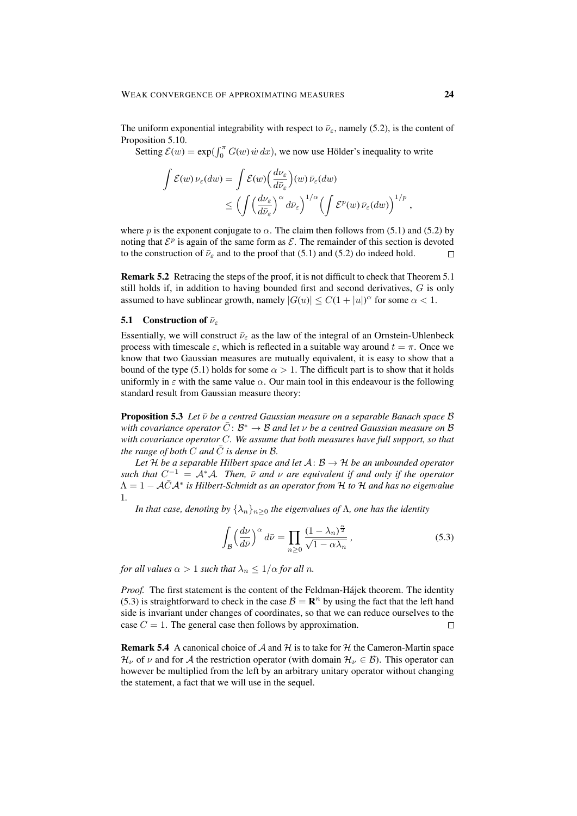The uniform exponential integrability with respect to  $\bar{\nu}_{\varepsilon}$ , namely (5.2), is the content of Proposition 5.10.

Setting  $\mathcal{E}(w) = \exp(\int_0^{\pi} G(w) \dot{w} dx)$ , we now use Hölder's inequality to write

$$
\int \mathcal{E}(w) \nu_{\varepsilon}(dw) = \int \mathcal{E}(w) \Big(\frac{d\nu_{\varepsilon}}{d\bar{\nu}_{\varepsilon}}\Big)(w) \,\bar{\nu}_{\varepsilon}(dw) \leq \Big(\int \Big(\frac{d\nu_{\varepsilon}}{d\bar{\nu}_{\varepsilon}}\Big)^{\alpha} d\bar{\nu}_{\varepsilon}\Big)^{1/\alpha} \Big(\int \mathcal{E}^{p}(w) \,\bar{\nu}_{\varepsilon}(dw)\Big)^{1/p},
$$

where p is the exponent conjugate to  $\alpha$ . The claim then follows from (5.1) and (5.2) by noting that  $\mathcal{E}^p$  is again of the same form as  $\mathcal{E}$ . The remainder of this section is devoted to the construction of  $\bar{\nu}_{\varepsilon}$  and to the proof that (5.1) and (5.2) do indeed hold.  $\Box$ 

Remark 5.2 Retracing the steps of the proof, it is not difficult to check that Theorem 5.1 still holds if, in addition to having bounded first and second derivatives,  $G$  is only assumed to have sublinear growth, namely  $|G(u)| \leq C(1+|u|)^{\alpha}$  for some  $\alpha < 1$ .

#### **5.1** Construction of  $\bar{\nu}_{\varepsilon}$

Essentially, we will construct  $\bar{\nu}_{\varepsilon}$  as the law of the integral of an Ornstein-Uhlenbeck process with timescale  $\varepsilon$ , which is reflected in a suitable way around  $t = \pi$ . Once we know that two Gaussian measures are mutually equivalent, it is easy to show that a bound of the type (5.1) holds for some  $\alpha > 1$ . The difficult part is to show that it holds uniformly in  $\varepsilon$  with the same value  $\alpha$ . Our main tool in this endeavour is the following standard result from Gaussian measure theory:

**Proposition 5.3** Let  $\bar{\nu}$  be a centred Gaussian measure on a separable Banach space  $\beta$ with covariance operator  $\bar{C}\colon \mathcal{B}^* \to \mathcal{B}$  and let  $\nu$  be a centred Gaussian measure on  $\mathcal B$ *with covariance operator* C*. We assume that both measures have full support, so that the range of both*  $C$  *and*  $\overline{C}$  *is dense in*  $\mathcal{B}$ *.* 

Let  $H$  *be a separable Hilbert space and let*  $A: B \rightarrow H$  *be an unbounded operator such that*  $C^{-1} = A^*A$ *. Then,*  $\bar{\nu}$  *and*  $\nu$  *are equivalent if and only if the operator* Λ = 1 − AC¯A<sup>∗</sup> *is Hilbert-Schmidt as an operator from* H *to* H *and has no eigenvalue* 1*.*

*In that case, denoting by*  $\{\lambda_n\}_{n\geq 0}$  *the eigenvalues of*  $\Lambda$ *, one has the identity* 

$$
\int_{\mathcal{B}} \left(\frac{d\nu}{d\bar{\nu}}\right)^{\alpha} d\bar{\nu} = \prod_{n\geq 0} \frac{(1 - \lambda_n)^{\frac{\alpha}{2}}}{\sqrt{1 - \alpha \lambda_n}},
$$
\n(5.3)

*for all values*  $\alpha > 1$  *such that*  $\lambda_n \leq 1/\alpha$  *for all n.* 

*Proof.* The first statement is the content of the Feldman-Hajek theorem. The identity (5.3) is straightforward to check in the case  $\mathcal{B} = \mathbb{R}^n$  by using the fact that the left hand side is invariant under changes of coordinates, so that we can reduce ourselves to the case  $C = 1$ . The general case then follows by approximation.  $\Box$ 

**Remark 5.4** A canonical choice of  $A$  and  $H$  is to take for  $H$  the Cameron-Martin space  $\mathcal{H}_{\nu}$  of  $\nu$  and for A the restriction operator (with domain  $\mathcal{H}_{\nu} \in \mathcal{B}$ ). This operator can however be multiplied from the left by an arbitrary unitary operator without changing the statement, a fact that we will use in the sequel.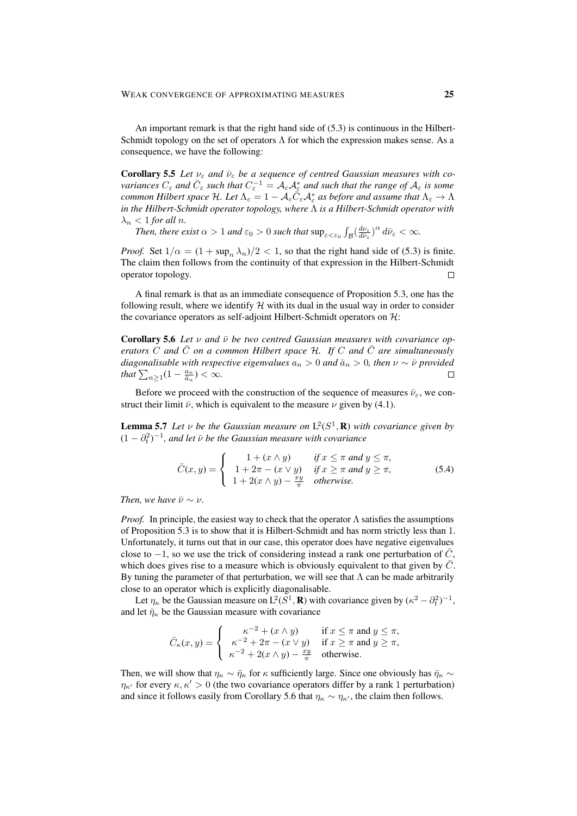An important remark is that the right hand side of (5.3) is continuous in the Hilbert-Schmidt topology on the set of operators  $\Lambda$  for which the expression makes sense. As a consequence, we have the following:

**Corollary 5.5** Let  $v_{\varepsilon}$  and  $\bar{v}_{\varepsilon}$  be a sequence of centred Gaussian measures with co $variances C_\varepsilon$  and  $\bar{C}_\varepsilon$  such that  $C_\varepsilon^{-1} = A_\varepsilon A_\varepsilon^*$  and such that the range of  $A_\varepsilon$  is some *common Hilbert space* H. Let  $\Lambda_{\varepsilon} = 1 - A_{\varepsilon} \overline{C}_{\varepsilon} A_{\varepsilon}^*$  as before and assume that  $\Lambda_{\varepsilon} \to \Lambda$ *in the Hilbert-Schmidt operator topology, where* Λ *is a Hilbert-Schmidt operator with*  $\lambda_n < 1$  *for all n.* 

*Then, there exist*  $\alpha > 1$  *and*  $\varepsilon_0 > 0$  *such that*  $\sup_{\varepsilon < \varepsilon_0} \int_{\mathcal{B}} \left( \frac{d\nu_{\varepsilon}}{d\bar{\nu}_{\varepsilon}} \right)^{\alpha} d\bar{\nu}_{\varepsilon} < \infty$ .

*Proof.* Set  $1/\alpha = (1 + \sup_n \lambda_n)/2 < 1$ , so that the right hand side of (5.3) is finite. The claim then follows from the continuity of that expression in the Hilbert-Schmidt operator topology.  $\Box$ 

A final remark is that as an immediate consequence of Proposition 5.3, one has the following result, where we identify  $H$  with its dual in the usual way in order to consider the covariance operators as self-adjoint Hilbert-Schmidt operators on  $\mathcal{H}$ :

**Corollary 5.6** Let v and  $\bar{\nu}$  be two centred Gaussian measures with covariance op*erators* C and  $\overline{C}$  *on a common Hilbert space* H. If C and  $\overline{C}$  *are simultaneously diagonalisable with respective eigenvalues*  $a_n > 0$  *and*  $\bar{a}_n > 0$ *, then*  $\nu \sim \bar{\nu}$  *provided that*  $\sum_{n\geq 1} (1 - \frac{a_n}{\bar{a}_n}) < \infty$ .  $\Box$ 

Before we proceed with the construction of the sequence of measures  $\bar{\nu}_{\varepsilon}$ , we construct their limit  $\bar{\nu}$ , which is equivalent to the measure  $\nu$  given by (4.1).

**Lemma 5.7** Let  $\nu$  be the Gaussian measure on  $L^2(S^1, \mathbf{R})$  with covariance given by  $(1 - \partial_t^2)^{-1}$ , and let  $\bar{\nu}$  be the Gaussian measure with covariance

$$
\bar{C}(x,y) = \begin{cases}\n1 + (x \wedge y) & \text{if } x \le \pi \text{ and } y \le \pi, \\
1 + 2\pi - (x \vee y) & \text{if } x \ge \pi \text{ and } y \ge \pi, \\
1 + 2(x \wedge y) - \frac{xy}{\pi} & \text{otherwise.} \n\end{cases}
$$
\n(5.4)

*Then, we have*  $\bar{\nu} \sim \nu$ *.* 

*Proof.* In principle, the easiest way to check that the operator Λ satisfies the assumptions of Proposition 5.3 is to show that it is Hilbert-Schmidt and has norm strictly less than 1. Unfortunately, it turns out that in our case, this operator does have negative eigenvalues close to  $-1$ , so we use the trick of considering instead a rank one perturbation of C, which does gives rise to a measure which is obviously equivalent to that given by  $C$ . By tuning the parameter of that perturbation, we will see that  $\Lambda$  can be made arbitrarily close to an operator which is explicitly diagonalisable.

Let  $\eta_{\kappa}$  be the Gaussian measure on  $L^2(S^1, \mathbf{R})$  with covariance given by  $(\kappa^2 - \partial_t^2)^{-1}$ , and let  $\bar{\eta}_{\kappa}$  be the Gaussian measure with covariance

$$
\bar{C}_{\kappa}(x,y) = \begin{cases}\n\kappa^{-2} + (x \wedge y) & \text{if } x \le \pi \text{ and } y \le \pi, \\
\kappa^{-2} + 2\pi - (x \vee y) & \text{if } x \ge \pi \text{ and } y \ge \pi, \\
\kappa^{-2} + 2(x \wedge y) - \frac{xy}{\pi} & \text{otherwise.} \n\end{cases}
$$

Then, we will show that  $\eta_{\kappa} \sim \bar{\eta}_{\kappa}$  for  $\kappa$  sufficiently large. Since one obviously has  $\bar{\eta}_{\kappa} \sim$  $\eta_{\kappa'}$  for every  $\kappa, \kappa' > 0$  (the two covariance operators differ by a rank 1 perturbation) and since it follows easily from Corollary 5.6 that  $\eta_{\kappa} \sim \eta_{\kappa'}$ , the claim then follows.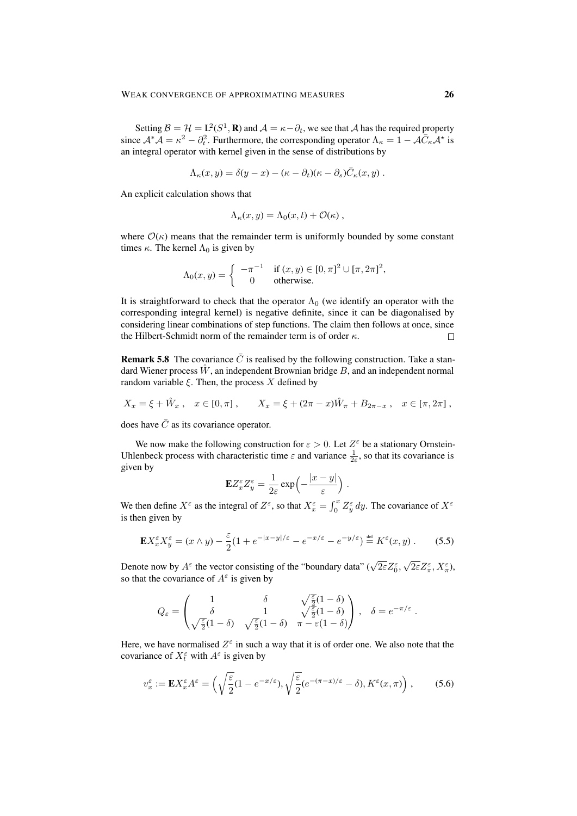Setting  $B = H = L^2(S^1, \mathbf{R})$  and  $A = \kappa - \partial_t$ , we see that A has the required property since  $A^* \tilde{A} = \kappa^2 - \partial_t^2$ . Furthermore, the corresponding operator  $\Lambda_{\kappa} = 1 - A \tilde{C}_{\kappa} A^*$  is an integral operator with kernel given in the sense of distributions by

$$
\Lambda_{\kappa}(x,y) = \delta(y-x) - (\kappa - \partial_t)(\kappa - \partial_s)\overline{C}_{\kappa}(x,y) .
$$

An explicit calculation shows that

$$
\Lambda_{\kappa}(x,y) = \Lambda_0(x,t) + \mathcal{O}(\kappa) ,
$$

where  $\mathcal{O}(\kappa)$  means that the remainder term is uniformly bounded by some constant times  $\kappa$ . The kernel  $\Lambda_0$  is given by

$$
\Lambda_0(x, y) = \begin{cases}\n-\pi^{-1} & \text{if } (x, y) \in [0, \pi]^2 \cup [\pi, 2\pi]^2, \\
0 & \text{otherwise.} \n\end{cases}
$$

It is straightforward to check that the operator  $\Lambda_0$  (we identify an operator with the corresponding integral kernel) is negative definite, since it can be diagonalised by considering linear combinations of step functions. The claim then follows at once, since the Hilbert-Schmidt norm of the remainder term is of order  $\kappa$ .  $\Box$ 

**Remark 5.8** The covariance  $\overline{C}$  is realised by the following construction. Take a standard Wiener process  $\hat{W}$ , an independent Brownian bridge B, and an independent normal random variable  $\xi$ . Then, the process X defined by

$$
X_x = \xi + \hat{W}_x
$$
,  $x \in [0, \pi]$ ,  $X_x = \xi + (2\pi - x)\hat{W}_\pi + B_{2\pi - x}$ ,  $x \in [\pi, 2\pi]$ ,

does have  $\overline{C}$  as its covariance operator.

We now make the following construction for  $\varepsilon > 0$ . Let  $Z^{\varepsilon}$  be a stationary Ornstein-Uhlenbeck process with characteristic time  $\varepsilon$  and variance  $\frac{1}{2\varepsilon}$ , so that its covariance is given by

$$
\mathbf{E} Z_x^{\varepsilon} Z_y^{\varepsilon} = \frac{1}{2\varepsilon} \exp\left(-\frac{|x-y|}{\varepsilon}\right).
$$

We then define  $X^{\varepsilon}$  as the integral of  $Z^{\varepsilon}$ , so that  $X^{\varepsilon}$  =  $\int_0^x Z^{\varepsilon}_y dy$ . The covariance of  $X^{\varepsilon}$ is then given by

$$
\mathbf{E} X_x^{\varepsilon} X_y^{\varepsilon} = (x \wedge y) - \frac{\varepsilon}{2} (1 + e^{-|x-y|/\varepsilon} - e^{-x/\varepsilon} - e^{-y/\varepsilon}) \stackrel{\text{def}}{=} K^{\varepsilon}(x, y) . \tag{5.5}
$$

Denote now by  $A^{\varepsilon}$  the vector consisting of the "boundary data" ( $\sqrt{2\varepsilon}Z_{0}^{\varepsilon}$ ),  $\sqrt{2\varepsilon}Z_{\pi}^{\varepsilon},X_{\pi}^{\varepsilon}$ ), so that the covariance of  $A^{\varepsilon}$  is given by

$$
Q_{\varepsilon} = \begin{pmatrix} 1 & \delta & \sqrt{\frac{\varepsilon}{2}}(1-\delta) \\ \delta & 1 & \sqrt{\frac{\varepsilon}{2}}(1-\delta) \\ \sqrt{\frac{\varepsilon}{2}}(1-\delta) & \sqrt{\frac{\varepsilon}{2}}(1-\delta) & \pi - \varepsilon(1-\delta) \end{pmatrix}, \quad \delta = e^{-\pi/\varepsilon}
$$

.

Here, we have normalised  $Z^{\varepsilon}$  in such a way that it is of order one. We also note that the covariance of  $X_t^{\varepsilon}$  with  $A^{\varepsilon}$  is given by

$$
v_x^{\varepsilon} := \mathbf{E} X_x^{\varepsilon} A^{\varepsilon} = \left( \sqrt{\frac{\varepsilon}{2}} (1 - e^{-x/\varepsilon}), \sqrt{\frac{\varepsilon}{2}} (e^{-(\pi - x)/\varepsilon} - \delta), K^{\varepsilon}(x, \pi) \right), \tag{5.6}
$$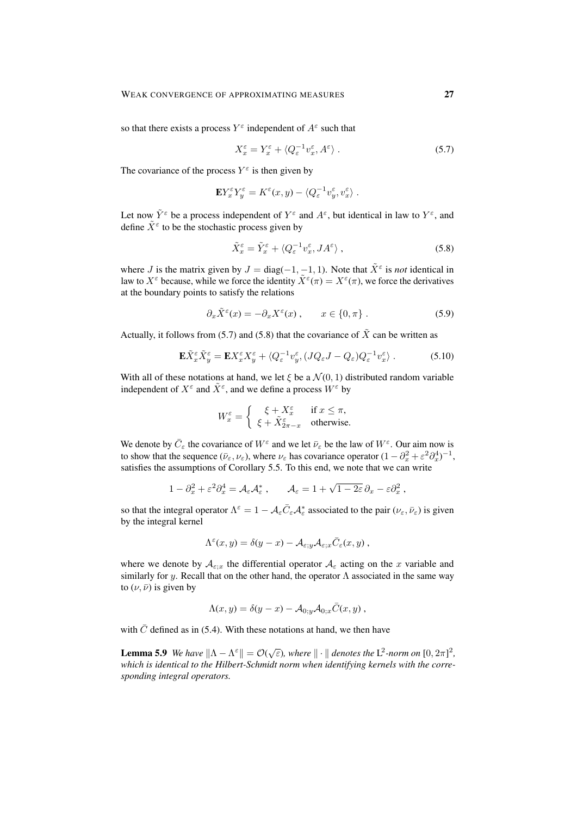so that there exists a process  $Y^{\varepsilon}$  independent of  $A^{\varepsilon}$  such that

$$
X_x^{\varepsilon} = Y_x^{\varepsilon} + \langle Q_{\varepsilon}^{-1} v_x^{\varepsilon}, A^{\varepsilon} \rangle \,. \tag{5.7}
$$

The covariance of the process  $Y^{\varepsilon}$  is then given by

$$
\mathbf{E} Y_x^{\varepsilon} Y_y^{\varepsilon} = K^{\varepsilon}(x, y) - \langle Q_{\varepsilon}^{-1} v_y^{\varepsilon}, v_x^{\varepsilon} \rangle.
$$

Let now  $\tilde{Y}^{\varepsilon}$  be a process independent of  $Y^{\varepsilon}$  and  $A^{\varepsilon}$ , but identical in law to  $Y^{\varepsilon}$ , and define  $\tilde{X}^{\varepsilon}$  to be the stochastic process given by

$$
\tilde{X}_x^{\varepsilon} = \tilde{Y}_x^{\varepsilon} + \langle Q_{\varepsilon}^{-1} v_x^{\varepsilon}, J A^{\varepsilon} \rangle , \qquad (5.8)
$$

where *J* is the matrix given by  $J = diag(-1, -1, 1)$ . Note that  $\tilde{X}^{\varepsilon}$  is *not* identical in law to  $X^{\varepsilon}$  because, while we force the identity  $\tilde{X}^{\varepsilon}(\pi) = X^{\varepsilon}(\pi)$ , we force the derivatives at the boundary points to satisfy the relations

$$
\partial_x \tilde{X}^{\varepsilon}(x) = -\partial_x X^{\varepsilon}(x) , \qquad x \in \{0, \pi\} . \tag{5.9}
$$

Actually, it follows from (5.7) and (5.8) that the covariance of  $\tilde{X}$  can be written as

$$
\mathbf{E}\tilde{X}_{x}^{\varepsilon}\tilde{X}_{y}^{\varepsilon} = \mathbf{E}X_{x}^{\varepsilon}X_{y}^{\varepsilon} + \langle Q_{\varepsilon}^{-1}v_{y}^{\varepsilon}, (JQ_{\varepsilon}J - Q_{\varepsilon})Q_{\varepsilon}^{-1}v_{x}^{\varepsilon} \rangle. \tag{5.10}
$$

With all of these notations at hand, we let  $\xi$  be a  $\mathcal{N}(0, 1)$  distributed random variable independent of  $X^{\varepsilon}$  and  $\tilde{X}^{\varepsilon}$ , and we define a process  $W^{\varepsilon}$  by

$$
W_x^{\varepsilon} = \begin{cases} \xi + X_x^{\varepsilon} & \text{if } x \le \pi, \\ \xi + \tilde{X}_{2\pi - x}^{\varepsilon} & \text{otherwise.} \end{cases}
$$

We denote by  $\bar{C}_{\varepsilon}$  the covariance of  $W^{\varepsilon}$  and we let  $\bar{\nu}_{\varepsilon}$  be the law of  $W^{\varepsilon}$ . Our aim now is to show that the sequence  $(\bar{\nu}_{\varepsilon}, \nu_{\varepsilon})$ , where  $\nu_{\varepsilon}$  has covariance operator  $(1 - \partial_x^2 + \varepsilon^2 \partial_x^4)^{-1}$ , satisfies the assumptions of Corollary 5.5. To this end, we note that we can write

$$
1 - \partial_x^2 + \varepsilon^2 \partial_x^4 = \mathcal{A}_{\varepsilon} \mathcal{A}_{\varepsilon}^*, \qquad \mathcal{A}_{\varepsilon} = 1 + \sqrt{1 - 2\varepsilon} \, \partial_x - \varepsilon \partial_x^2,
$$

so that the integral operator  $\Lambda^{\varepsilon} = 1 - A_{\varepsilon} \bar{C}_{\varepsilon} A_{\varepsilon}^{*}$  associated to the pair  $(\nu_{\varepsilon}, \bar{\nu}_{\varepsilon})$  is given by the integral kernel

$$
\Lambda^{\varepsilon}(x,y) = \delta(y-x) - \mathcal{A}_{\varepsilon;y} \mathcal{A}_{\varepsilon;x} \overline{C}_{\varepsilon}(x,y) ,
$$

where we denote by  $A_{\varepsilon;x}$  the differential operator  $A_{\varepsilon}$  acting on the x variable and similarly for y. Recall that on the other hand, the operator  $\Lambda$  associated in the same way to  $(\nu, \bar{\nu})$  is given by

$$
\Lambda(x,y) = \delta(y-x) - \mathcal{A}_{0,y} \mathcal{A}_{0,x} \overline{C}(x,y) ,
$$

with  $\overline{C}$  defined as in (5.4). With these notations at hand, we then have

**Lemma 5.9** *We have*  $\|\Lambda - \Lambda^{\varepsilon}\| = \mathcal{O}(\sqrt{\varepsilon})$ *, where*  $\|\cdot\|$  *denotes the*  $L^2$ -norm on  $[0, 2\pi]^2$ *, which is identical to the Hilbert-Schmidt norm when identifying kernels with the corresponding integral operators.*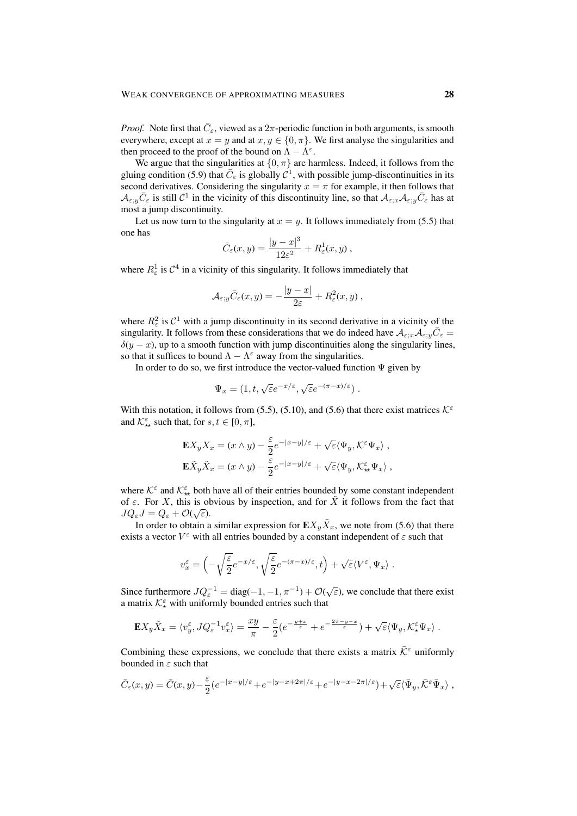*Proof.* Note first that  $\overline{C}_{\varepsilon}$ , viewed as a  $2\pi$ -periodic function in both arguments, is smooth everywhere, except at  $x = y$  and at  $x, y \in \{0, \pi\}$ . We first analyse the singularities and then proceed to the proof of the bound on  $\Lambda - \Lambda^{\epsilon}$ .

We argue that the singularities at  $\{0, \pi\}$  are harmless. Indeed, it follows from the gluing condition (5.9) that  $\bar{C}_{\varepsilon}$  is globally  $\mathcal{C}^1$ , with possible jump-discontinuities in its second derivatives. Considering the singularity  $x = \pi$  for example, it then follows that  $\mathcal{A}_{\varepsilon,y}\bar{C}_{\varepsilon}$  is still  $\mathcal{C}^1$  in the vicinity of this discontinuity line, so that  $\mathcal{A}_{\varepsilon,x}\mathcal{A}_{\varepsilon,y}\bar{C}_{\varepsilon}$  has at most a jump discontinuity.

Let us now turn to the singularity at  $x = y$ . It follows immediately from (5.5) that one has

$$
\bar{C}_{\varepsilon}(x,y) = \frac{|y-x|^3}{12\varepsilon^2} + R_{\varepsilon}^1(x,y) ,
$$

where  $R^1_\varepsilon$  is  $C^4$  in a vicinity of this singularity. It follows immediately that

$$
\mathcal{A}_{\varepsilon;y}\overline{C}_{\varepsilon}(x,y)=-\frac{|y-x|}{2\varepsilon}+R_{\varepsilon}^2(x,y),
$$

where  $R_{\varepsilon}^2$  is  $C^1$  with a jump discontinuity in its second derivative in a vicinity of the singularity. It follows from these considerations that we do indeed have  $A_{\varepsilon;x}A_{\varepsilon;y}\overline{C}_{\varepsilon}$  $\delta(y-x)$ , up to a smooth function with jump discontinuities along the singularity lines, so that it suffices to bound  $\Lambda - \Lambda^{\epsilon}$  away from the singularities.

In order to do so, we first introduce the vector-valued function  $\Psi$  given by

$$
\Psi_x = (1, t, \sqrt{\varepsilon} e^{-x/\varepsilon}, \sqrt{\varepsilon} e^{-(\pi - x)/\varepsilon}).
$$

With this notation, it follows from (5.5), (5.10), and (5.6) that there exist matrices  $K^{\epsilon}$ and  $\mathcal{K}_{**}^{\varepsilon}$  such that, for  $s, t \in [0, \pi]$ ,

$$
\begin{split} \mathbf{E} X_y X_x&=(x\wedge y)-\frac{\varepsilon}{2}e^{-|x-y|/\varepsilon}+\sqrt{\varepsilon}\langle\Psi_y,\mathcal{K}^\varepsilon\Psi_x\rangle\;,\\ \mathbf{E} \tilde{X}_y \tilde{X}_x&=(x\wedge y)-\frac{\varepsilon}{2}e^{-|x-y|/\varepsilon}+\sqrt{\varepsilon}\langle\Psi_y,\mathcal{K}^\varepsilon_{\star\star}\Psi_x\rangle\;, \end{split}
$$

where  $K^{\varepsilon}$  and  $K^{\varepsilon}_{**}$  both have all of their entries bounded by some constant independent of  $\varepsilon$ . For X, this is obvious by inspection, and for  $\tilde{X}$  it follows from the fact that  $JQ_{\varepsilon}J=Q_{\varepsilon}+\mathcal{O}(\sqrt{\varepsilon}).$ 

In order to obtain a similar expression for  $\mathbf{E} X_y \tilde{X}_x$ , we note from (5.6) that there exists a vector  $V^{\varepsilon}$  with all entries bounded by a constant independent of  $\varepsilon$  such that

$$
v_x^{\varepsilon} = \left(-\sqrt{\frac{\varepsilon}{2}}e^{-x/\varepsilon}, \sqrt{\frac{\varepsilon}{2}}e^{-(\pi-x)/\varepsilon}, t\right) + \sqrt{\varepsilon}\langle V^{\varepsilon}, \Psi_x \rangle.
$$

Since furthermore  $JQ_{\varepsilon}^{-1} = \text{diag}(-1, -1, \pi^{-1}) + \mathcal{O}(\sqrt{\varepsilon})$ , we conclude that there exist a matrix  $\mathcal{K}_{\star}^{\varepsilon}$  with uniformly bounded entries such that

$$
\mathbf{E} X_y \tilde{X}_x = \langle v_y^{\varepsilon}, JQ_{\varepsilon}^{-1} v_x^{\varepsilon} \rangle = \frac{xy}{\pi} - \frac{\varepsilon}{2} (e^{-\frac{y+x}{\varepsilon}} + e^{-\frac{2\pi - y - x}{\varepsilon}}) + \sqrt{\varepsilon} \langle \Psi_y, \mathcal{K}_\star^{\varepsilon} \Psi_x \rangle.
$$

Combining these expressions, we conclude that there exists a matrix  $\overline{\mathcal{K}}^{\varepsilon}$  uniformly bounded in  $\varepsilon$  such that

$$
\bar{C}_{\varepsilon}(x,y) = \bar{C}(x,y) - \frac{\varepsilon}{2} \left( e^{-|x-y|/\varepsilon} + e^{-|y-x+2\pi|/\varepsilon} + e^{-|y-x-2\pi|/\varepsilon} \right) + \sqrt{\varepsilon} \langle \bar{\Psi}_y, \bar{\mathcal{K}}^{\varepsilon} \bar{\Psi}_x \rangle ,
$$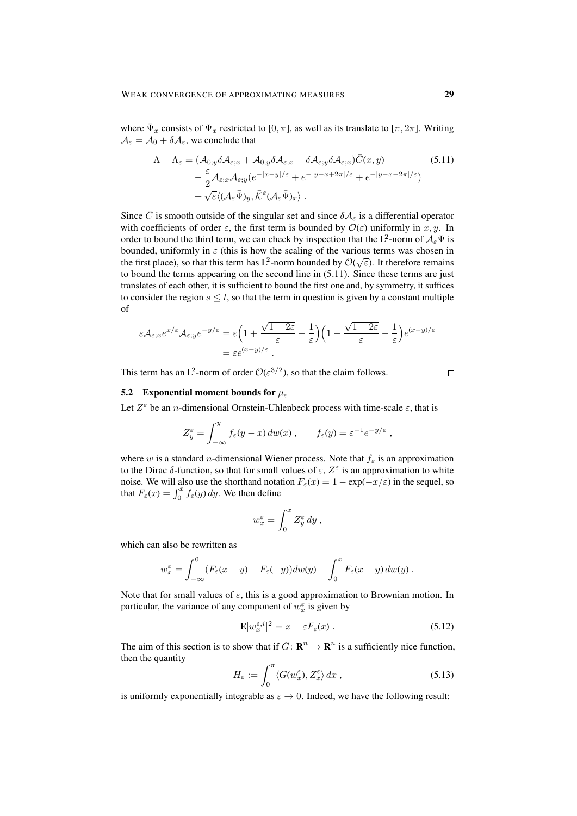where  $\bar{\Psi}_x$  consists of  $\Psi_x$  restricted to [0,  $\pi$ ], as well as its translate to [ $\pi$ ,  $2\pi$ ]. Writing  $A_{\varepsilon} = A_0 + \delta A_{\varepsilon}$ , we conclude that

$$
\Lambda - \Lambda_{\varepsilon} = (\mathcal{A}_{0;y}\delta\mathcal{A}_{\varepsilon;x} + \mathcal{A}_{0;y}\delta\mathcal{A}_{\varepsilon;x} + \delta\mathcal{A}_{\varepsilon;y}\delta\mathcal{A}_{\varepsilon;x})\bar{C}(x,y) \n- \frac{\varepsilon}{2}\mathcal{A}_{\varepsilon;x}\mathcal{A}_{\varepsilon;y}(e^{-|x-y|/\varepsilon} + e^{-|y-x+2\pi|/\varepsilon} + e^{-|y-x-2\pi|/\varepsilon}) \n+ \sqrt{\varepsilon}\langle(\mathcal{A}_{\varepsilon}\bar{\Psi})_{y},\bar{\mathcal{K}}^{\varepsilon}(\mathcal{A}_{\varepsilon}\bar{\Psi})_{x}\rangle.
$$
\n(5.11)

Since  $\bar{C}$  is smooth outside of the singular set and since  $\delta A_{\varepsilon}$  is a differential operator with coefficients of order  $\varepsilon$ , the first term is bounded by  $\mathcal{O}(\varepsilon)$  uniformly in x, y. In order to bound the third term, we can check by inspection that the L<sup>2</sup>-norm of  $A_\varepsilon \Psi$  is bounded, uniformly in  $\varepsilon$  (this is how the scaling of the various terms was chosen in the first place), so that this term has L<sup>2</sup>-norm bounded by  $\mathcal{O}(\sqrt{\varepsilon})$ . It therefore remains to bound the terms appearing on the second line in (5.11). Since these terms are just translates of each other, it is sufficient to bound the first one and, by symmetry, it suffices to consider the region  $s \leq t$ , so that the term in question is given by a constant multiple of

$$
\varepsilon \mathcal{A}_{\varepsilon;x} e^{x/\varepsilon} \mathcal{A}_{\varepsilon;y} e^{-y/\varepsilon} = \varepsilon \left( 1 + \frac{\sqrt{1 - 2\varepsilon}}{\varepsilon} - \frac{1}{\varepsilon} \right) \left( 1 - \frac{\sqrt{1 - 2\varepsilon}}{\varepsilon} - \frac{1}{\varepsilon} \right) e^{(x-y)/\varepsilon}
$$

$$
= \varepsilon e^{(x-y)/\varepsilon}.
$$

This term has an L<sup>2</sup>-norm of order  $\mathcal{O}(\varepsilon^{3/2})$ , so that the claim follows.

#### $\Box$

# 5.2 Exponential moment bounds for  $\mu_{\varepsilon}$

Let  $Z^{\varepsilon}$  be an *n*-dimensional Ornstein-Uhlenbeck process with time-scale  $\varepsilon$ , that is

$$
Z_y^{\varepsilon} = \int_{-\infty}^y f_{\varepsilon}(y-x) \, dw(x) , \qquad f_{\varepsilon}(y) = \varepsilon^{-1} e^{-y/\varepsilon} ,
$$

where w is a standard *n*-dimensional Wiener process. Note that  $f_{\varepsilon}$  is an approximation to the Dirac  $\delta$ -function, so that for small values of  $\varepsilon$ ,  $Z^{\varepsilon}$  is an approximation to white noise. We will also use the shorthand notation  $F_{\varepsilon}(x) = 1 - \exp(-x/\varepsilon)$  in the sequel, so that  $F_{\varepsilon}(x) = \int_0^x f_{\varepsilon}(y) dy$ . We then define

$$
w_x^{\varepsilon} = \int_0^x Z_y^{\varepsilon} \, dy \; ,
$$

which can also be rewritten as

$$
w_x^{\varepsilon} = \int_{-\infty}^0 (F_{\varepsilon}(x-y) - F_{\varepsilon}(-y))dw(y) + \int_0^x F_{\varepsilon}(x-y) dw(y).
$$

Note that for small values of  $\varepsilon$ , this is a good approximation to Brownian motion. In particular, the variance of any component of  $w_x^{\varepsilon}$  is given by

$$
\mathbf{E}|w_x^{\varepsilon,i}|^2 = x - \varepsilon F_{\varepsilon}(x) \,. \tag{5.12}
$$

The aim of this section is to show that if  $G: \mathbf{R}^n \to \mathbf{R}^n$  is a sufficiently nice function, then the quantity

$$
H_{\varepsilon} := \int_0^{\pi} \langle G(w_x^{\varepsilon}), Z_x^{\varepsilon} \rangle \, dx \,, \tag{5.13}
$$

is uniformly exponentially integrable as  $\varepsilon \to 0$ . Indeed, we have the following result: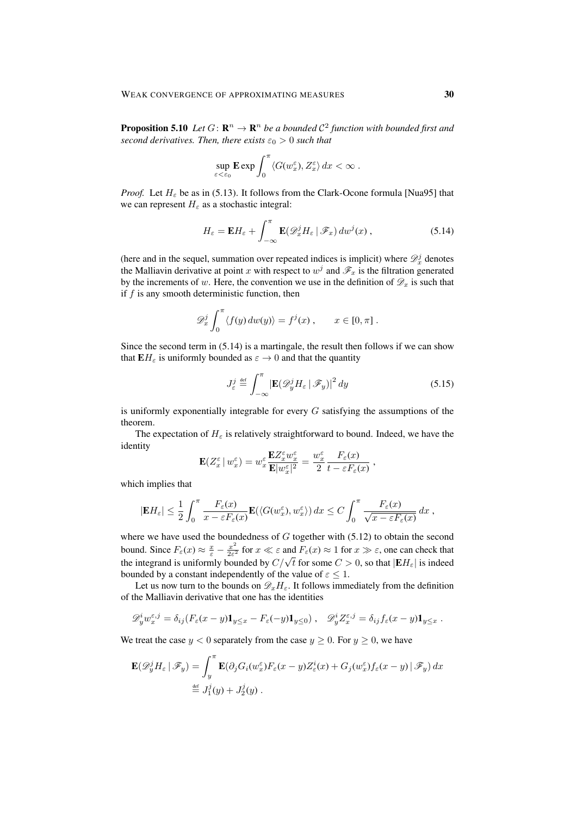**Proposition 5.10** Let  $G: \mathbb{R}^n \to \mathbb{R}^n$  be a bounded  $C^2$  function with bounded first and *second derivatives. Then, there exists*  $\varepsilon_0 > 0$  *such that* 

$$
\sup_{\varepsilon < \varepsilon_0} \mathbf{E} \exp \int_0^\pi \langle G(w_x^\varepsilon), Z_x^\varepsilon \rangle \, dx < \infty \; .
$$

*Proof.* Let  $H_{\varepsilon}$  be as in (5.13). It follows from the Clark-Ocone formula [Nua95] that we can represent  $H_{\varepsilon}$  as a stochastic integral:

$$
H_{\varepsilon} = \mathbf{E} H_{\varepsilon} + \int_{-\infty}^{\pi} \mathbf{E}(\mathcal{D}_x^j H_{\varepsilon} | \mathcal{F}_x) dw^j(x) , \qquad (5.14)
$$

(here and in the sequel, summation over repeated indices is implicit) where  $\mathcal{D}_x^j$  denotes the Malliavin derivative at point x with respect to  $w^j$  and  $\mathscr{F}_x$  is the filtration generated by the increments of w. Here, the convention we use in the definition of  $\mathscr{D}_x$  is such that if  $f$  is any smooth deterministic function, then

$$
\mathscr{D}_x^j \int_0^\pi \langle f(y) \, dw(y) \rangle = f^j(x) , \qquad x \in [0, \pi] .
$$

Since the second term in (5.14) is a martingale, the result then follows if we can show that  $\mathbf{E}H_{\varepsilon}$  is uniformly bounded as  $\varepsilon \to 0$  and that the quantity

$$
J_{\varepsilon}^{j} \stackrel{\text{def}}{=} \int_{-\infty}^{\pi} \left| \mathbf{E}(\mathcal{D}_{y}^{j} H_{\varepsilon} \mid \mathcal{F}_{y}) \right|^{2} dy \qquad (5.15)
$$

is uniformly exponentially integrable for every  $G$  satisfying the assumptions of the theorem.

The expectation of  $H_{\varepsilon}$  is relatively straightforward to bound. Indeed, we have the identity

$$
\mathbf{E}(Z_x^{\varepsilon} \,|\, w_x^{\varepsilon}) = w_x^{\varepsilon} \frac{\mathbf{E} Z_x^{\varepsilon} w_x^{\varepsilon}}{\mathbf{E} |w_x^{\varepsilon}|^2} = \frac{w_x^{\varepsilon}}{2} \frac{F_{\varepsilon}(x)}{t - \varepsilon F_{\varepsilon}(x)},
$$

which implies that

$$
|\mathbf{E} H_{\varepsilon}| \leq \frac{1}{2} \int_0^{\pi} \frac{F_{\varepsilon}(x)}{x - \varepsilon F_{\varepsilon}(x)} \mathbf{E}(\langle G(w_x^{\varepsilon}), w_x^{\varepsilon} \rangle) dx \leq C \int_0^{\pi} \frac{F_{\varepsilon}(x)}{\sqrt{x - \varepsilon F_{\varepsilon}(x)}} dx ,
$$

where we have used the boundedness of  $G$  together with  $(5.12)$  to obtain the second bound. Since  $F_{\varepsilon}(x) \approx \frac{x}{\varepsilon} - \frac{x^2}{2\varepsilon^2}$  $\frac{x^2}{2\varepsilon^2}$  for  $x \ll \varepsilon$  and  $F_\varepsilon(x) \approx 1$  for  $x \gg \varepsilon$ , one can check that bound. Since  $P_{\varepsilon}(x) \approx \frac{1}{\varepsilon} - \frac{1}{2\varepsilon^2}$  for  $x \ll \varepsilon$  and  $P_{\varepsilon}(x) \approx 1$  for  $x \gg \varepsilon$ , one can check that the integrand is uniformly bounded by  $C/\sqrt{t}$  for some  $C > 0$ , so that  $|EH_{\varepsilon}|$  is indeed bounded by a constant independently of the value of  $\varepsilon \leq 1$ .

Let us now turn to the bounds on  $\mathscr{D}_{x}H_{\varepsilon}$ . It follows immediately from the definition of the Malliavin derivative that one has the identities

$$
\mathscr{D}_y^i w_x^{\varepsilon,j} = \delta_{ij} (F_\varepsilon(x-y)\mathbf{1}_{y\leq x} - F_\varepsilon(-y)\mathbf{1}_{y\leq 0}), \quad \mathscr{D}_y^i Z_x^{\varepsilon,j} = \delta_{ij} f_\varepsilon(x-y)\mathbf{1}_{y\leq x} .
$$

We treat the case  $y < 0$  separately from the case  $y \ge 0$ . For  $y \ge 0$ , we have

$$
\mathbf{E}(\mathscr{D}_{y}^{j}H_{\varepsilon} | \mathscr{F}_{y}) = \int_{y}^{\pi} \mathbf{E}(\partial_{j}G_{i}(w_{x}^{\varepsilon})F_{\varepsilon}(x-y)Z_{\varepsilon}^{i}(x) + G_{j}(w_{x}^{\varepsilon})f_{\varepsilon}(x-y) | \mathscr{F}_{y}) dx
$$
  
\n
$$
\stackrel{\text{def}}{=} J_{1}^{j}(y) + J_{2}^{j}(y).
$$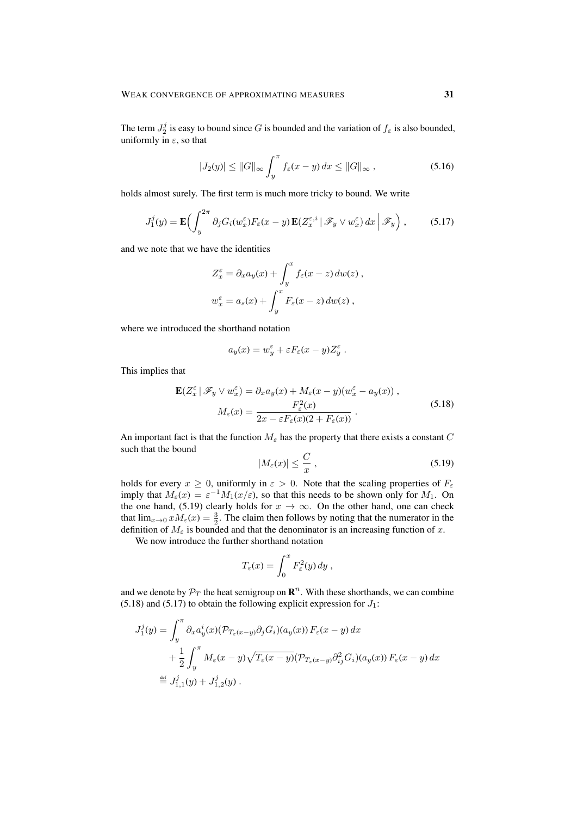The term  $J_2^j$  is easy to bound since G is bounded and the variation of  $f_\varepsilon$  is also bounded, uniformly in  $\varepsilon$ , so that

$$
|J_2(y)| \le ||G||_{\infty} \int_y^\pi f_\varepsilon(x-y) dx \le ||G||_{\infty}, \qquad (5.16)
$$

holds almost surely. The first term is much more tricky to bound. We write

$$
J_1^j(y) = \mathbf{E}\Big(\int_y^{2\pi} \partial_j G_i(w_x^{\varepsilon}) F_{\varepsilon}(x-y) \mathbf{E}(Z_x^{\varepsilon,i} | \mathscr{F}_y \vee w_x^{\varepsilon}) dx \Big| \mathscr{F}_y\Big), \qquad (5.17)
$$

and we note that we have the identities

$$
Z_x^{\varepsilon} = \partial_x a_y(x) + \int_y^x f_{\varepsilon}(x - z) dw(z) ,
$$
  

$$
w_x^{\varepsilon} = a_s(x) + \int_y^x F_{\varepsilon}(x - z) dw(z) ,
$$

where we introduced the shorthand notation

$$
a_y(x) = w_y^{\varepsilon} + \varepsilon F_{\varepsilon}(x - y) Z_y^{\varepsilon}.
$$

This implies that

$$
\mathbf{E}(Z_x^{\varepsilon} | \mathscr{F}_y \vee w_x^{\varepsilon}) = \partial_x a_y(x) + M_{\varepsilon}(x - y)(w_x^{\varepsilon} - a_y(x)),
$$
  

$$
M_{\varepsilon}(x) = \frac{F_{\varepsilon}^2(x)}{2x - \varepsilon F_{\varepsilon}(x)(2 + F_{\varepsilon}(x))}.
$$
 (5.18)

An important fact is that the function  $M<sub>\epsilon</sub>$  has the property that there exists a constant C such that the bound

$$
|M_{\varepsilon}(x)| \leq \frac{C}{x},\tag{5.19}
$$

holds for every  $x \ge 0$ , uniformly in  $\varepsilon > 0$ . Note that the scaling properties of  $F_{\varepsilon}$ imply that  $M_{\varepsilon}(x) = \varepsilon^{-1} M_1(x/\varepsilon)$ , so that this needs to be shown only for  $M_1$ . On the one hand, (5.19) clearly holds for  $x \to \infty$ . On the other hand, one can check that  $\lim_{x\to 0} xM_{\varepsilon}(x) = \frac{3}{2}$ . The claim then follows by noting that the numerator in the definition of  $M_{\epsilon}$  is bounded and that the denominator is an increasing function of x.

We now introduce the further shorthand notation

$$
T_{\varepsilon}(x) = \int_0^x F_{\varepsilon}^2(y) \, dy ,
$$

and we denote by  $\mathcal{P}_T$  the heat semigroup on  $\mathbb{R}^n$ . With these shorthands, we can combine  $(5.18)$  and  $(5.17)$  to obtain the following explicit expression for  $J_1$ :

$$
J_1^j(y) = \int_y^\pi \partial_x a_y^i(x) (\mathcal{P}_{T_\varepsilon(x-y)} \partial_j G_i)(a_y(x)) F_\varepsilon(x-y) dx
$$
  
+ 
$$
\frac{1}{2} \int_y^\pi M_\varepsilon(x-y) \sqrt{T_\varepsilon(x-y)} (\mathcal{P}_{T_\varepsilon(x-y)} \partial_{ij}^2 G_i)(a_y(x)) F_\varepsilon(x-y) dx
$$
  

$$
\stackrel{\text{def}}{=} J_{1,1}^j(y) + J_{1,2}^j(y) .
$$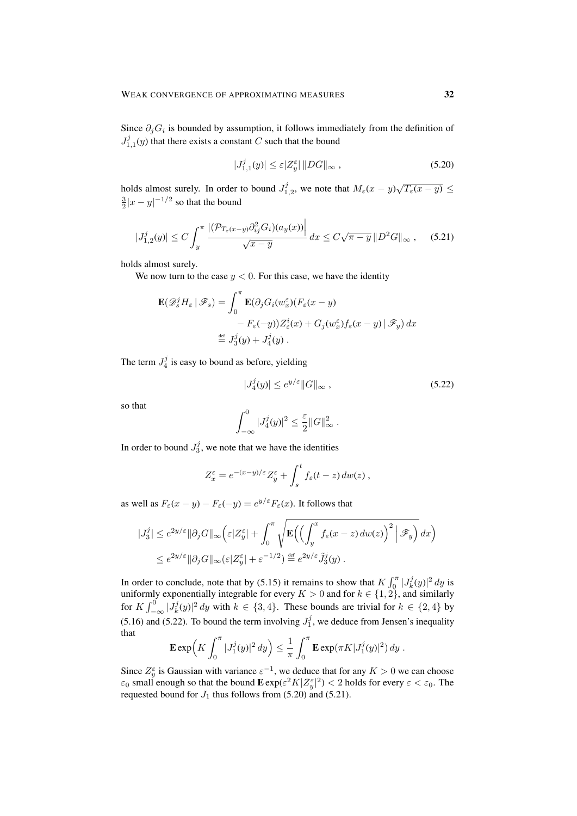Since  $\partial_j G_i$  is bounded by assumption, it follows immediately from the definition of  $J_{1,1}^{j}(y)$  that there exists a constant C such that the bound

$$
|J_{1,1}^j(y)| \le \varepsilon |Z_y^{\varepsilon}| \, \|DG\|_{\infty} \,,\tag{5.20}
$$

holds almost surely. In order to bound  $J_{1,2}^j$ , we note that  $M_{\varepsilon}(x-y)\sqrt{T_{\varepsilon}(x-y)} \leq$  $\frac{3}{2}|x-y|^{-1/2}$  so that the bound

$$
|J_{1,2}^{j}(y)| \le C \int_{y}^{\pi} \frac{\left| (\mathcal{P}_{T_{\varepsilon}(x-y)} \partial_{ij}^{2} G_{i})(a_{y}(x)) \right|}{\sqrt{x-y}} dx \le C \sqrt{\pi - y} \| D^{2} G \|_{\infty}, \quad (5.21)
$$

holds almost surely.

We now turn to the case  $y < 0$ . For this case, we have the identity

$$
\mathbf{E}(\mathscr{D}_s^j H_\varepsilon \mid \mathscr{F}_s) = \int_0^\pi \mathbf{E}(\partial_j G_i (w_x^\varepsilon)(F_\varepsilon(x-y))
$$
  
-  $F_\varepsilon(-y)) Z_\varepsilon^i(x) + G_j(w_x^\varepsilon) f_\varepsilon(x-y) \mid \mathscr{F}_y) dx$   

$$
\stackrel{\text{def}}{=} J_3^j(y) + J_4^j(y) .
$$

The term  $J_4^j$  is easy to bound as before, yielding

$$
|J_4^j(y)| \le e^{y/\varepsilon} ||G||_{\infty}, \qquad (5.22)
$$

so that

$$
\int_{-\infty}^0 |J_4^j(y)|^2 \le \frac{\varepsilon}{2} ||G||_{\infty}^2.
$$

In order to bound  $J_3^j$ , we note that we have the identities

$$
Z_x^{\varepsilon} = e^{-(x-y)/\varepsilon} Z_y^{\varepsilon} + \int_s^t f_{\varepsilon}(t-z) \, dw(z) ,
$$

as well as  $F_{\varepsilon}(x-y) - F_{\varepsilon}(-y) = e^{y/\varepsilon} F_{\varepsilon}(x)$ . It follows that

$$
|J_3^j| \le e^{2y/\varepsilon} \|\partial_j G\|_{\infty} \Big(\varepsilon |Z_y^{\varepsilon}| + \int_0^{\pi} \sqrt{\mathbf{E}\Big(\Big(\int_y^x f_{\varepsilon}(x-z) \, dw(z)\Big)^2 \Big| \mathcal{F}_y\Big)} \, dx\Big)
$$
  

$$
\le e^{2y/\varepsilon} \|\partial_j G\|_{\infty} (\varepsilon |Z_y^{\varepsilon}| + \varepsilon^{-1/2}) \stackrel{\text{def}}{=} e^{2y/\varepsilon} \tilde{J}_3^j(y) .
$$

In order to conclude, note that by (5.15) it remains to show that  $K \int_{0}^{\pi} |J_{k}^{j}(y)|^{2} dy$  is uniformly exponentially integrable for every  $K > 0$  and for  $k \in \{1, 2\}$ , and similarly for  $K \int_{-\infty}^{0} |J_k^j(y)|^2 dy$  with  $k \in \{3, 4\}$ . These bounds are trivial for  $k \in \{2, 4\}$  by (5.16) and (5.22). To bound the term involving  $J_1^j$ , we deduce from Jensen's inequality that

$$
\mathbf{E} \exp\Bigl(K \int_0^{\pi} |J_1^j(y)|^2 dy \Bigr) \leq \frac{1}{\pi} \int_0^{\pi} \mathbf{E} \exp(\pi K |J_1^j(y)|^2) dy.
$$

Since  $Z_y^{\varepsilon}$  is Gaussian with variance  $\varepsilon^{-1}$ , we deduce that for any  $K > 0$  we can choose  $\varepsilon_0$  small enough so that the bound  ${\bf E}\exp(\varepsilon^2 K|Z_y^\varepsilon|^2) < 2$  holds for every  $\varepsilon < \varepsilon_0$ . The requested bound for  $J_1$  thus follows from (5.20) and (5.21).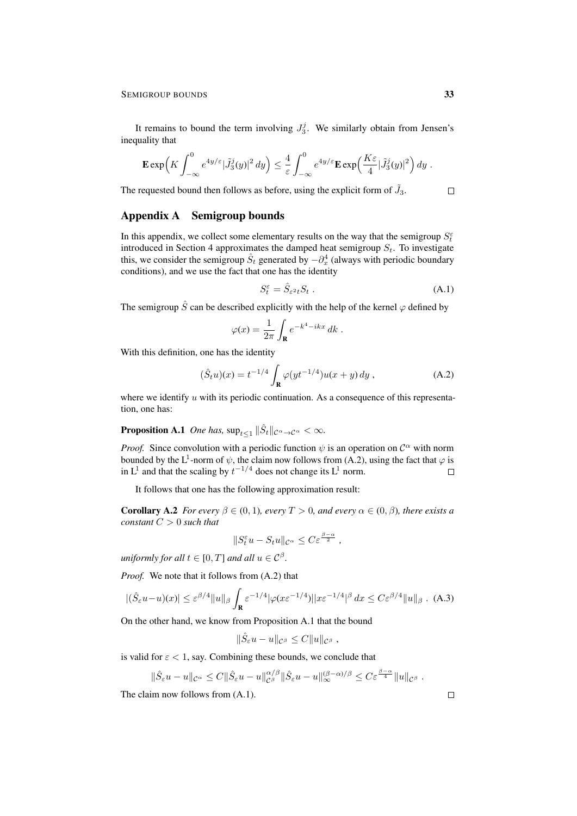It remains to bound the term involving  $J_3^j$ . We similarly obtain from Jensen's inequality that

$$
\mathbf{E} \exp\Bigl(K \int_{-\infty}^0 e^{4y/\varepsilon} |\tilde{J}_3^j(y)|^2 dy\Bigr) \leq \frac{4}{\varepsilon} \int_{-\infty}^0 e^{4y/\varepsilon} \mathbf{E} \exp\Bigl(\frac{K\varepsilon}{4} |\tilde{J}_3^j(y)|^2\Bigr) dy.
$$

The requested bound then follows as before, using the explicit form of  $\tilde{J}_3$ .

# Appendix A Semigroup bounds

In this appendix, we collect some elementary results on the way that the semigroup  $S_t^{\varepsilon}$ introduced in Section 4 approximates the damped heat semigroup  $S_t$ . To investigate this, we consider the semigroup  $\hat{S}_t$  generated by  $-\partial_x^4$  (always with periodic boundary conditions), and we use the fact that one has the identity

$$
S_t^{\varepsilon} = \hat{S}_{\varepsilon^2 t} S_t \tag{A.1}
$$

The semigroup  $\hat{S}$  can be described explicitly with the help of the kernel  $\varphi$  defined by

$$
\varphi(x) = \frac{1}{2\pi} \int_{\mathbf{R}} e^{-k^4 - ikx} dk.
$$

With this definition, one has the identity

$$
(\hat{S}_t u)(x) = t^{-1/4} \int_{\mathbf{R}} \varphi(y t^{-1/4}) u(x + y) dy , \qquad (A.2)
$$

where we identify  $u$  with its periodic continuation. As a consequence of this representation, one has:

**Proposition A.1** One has,  $\sup_{t\leq 1} \|\hat{S}_t\|_{\mathcal{C}^{\alpha}\to\mathcal{C}^{\alpha}} < \infty$ .

*Proof.* Since convolution with a periodic function  $\psi$  is an operation on  $\mathcal{C}^{\alpha}$  with norm bounded by the L<sup>1</sup>-norm of  $\psi$ , the claim now follows from (A.2), using the fact that  $\varphi$  is in  $L^1$  and that the scaling by  $t^{-1/4}$  does not change its  $L^1$  norm.  $\Box$ 

It follows that one has the following approximation result:

**Corollary A.2** *For every*  $\beta \in (0,1)$ *, every*  $T > 0$ *, and every*  $\alpha \in (0,\beta)$ *, there exists a constant* C > 0 *such that*

$$
||S_t^{\varepsilon}u - S_t u||_{\mathcal{C}^{\alpha}} \leq C \varepsilon^{\frac{\beta - \alpha}{2}},
$$

*uniformly for all*  $t \in [0, T]$  *and all*  $u \in C^{\beta}$ *.* 

*Proof.* We note that it follows from (A.2) that

$$
|(\hat{S}_{\varepsilon}u-u)(x)| \leq \varepsilon^{\beta/4} \|u\|_{\beta} \int_{\mathbf{R}} \varepsilon^{-1/4} |\varphi(x\varepsilon^{-1/4})| |x\varepsilon^{-1/4}|^{\beta} dx \leq C \varepsilon^{\beta/4} \|u\|_{\beta} . \tag{A.3}
$$

On the other hand, we know from Proposition A.1 that the bound

$$
\|\hat{S}_{\varepsilon}u - u\|_{\mathcal{C}^{\beta}} \leq C \|u\|_{\mathcal{C}^{\beta}},
$$

is valid for  $\epsilon$  < 1, say. Combining these bounds, we conclude that

$$
\|\hat{S}_{\varepsilon}u - u\|_{\mathcal{C}^{\alpha}} \leq C\|\hat{S}_{\varepsilon}u - u\|_{\mathcal{C}^{\beta}}^{\alpha/\beta}\|\hat{S}_{\varepsilon}u - u\|_{\infty}^{(\beta - \alpha)/\beta} \leq C\varepsilon^{\frac{\beta - \alpha}{4}}\|u\|_{\mathcal{C}^{\beta}}.
$$

The claim now follows from (A.1).

 $\Box$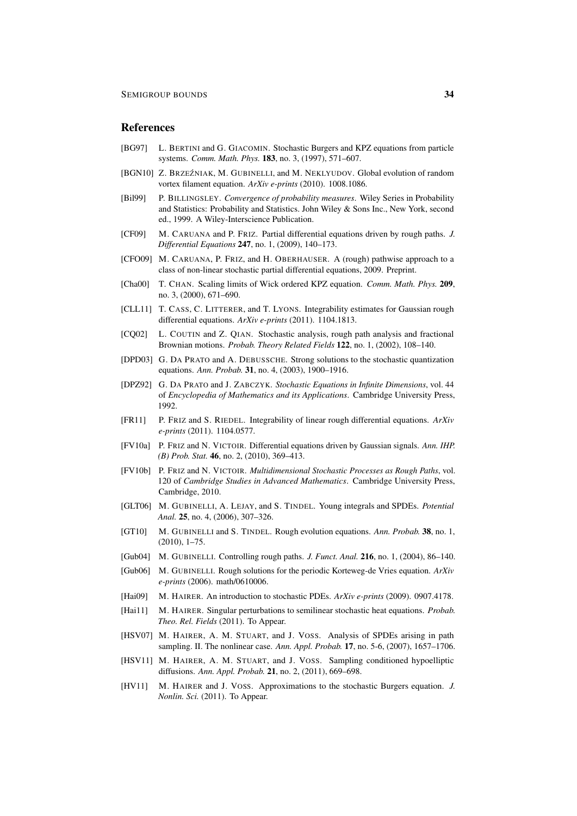# **References**

- [BG97] L. BERTINI and G. GIACOMIN. Stochastic Burgers and KPZ equations from particle systems. *Comm. Math. Phys.* 183, no. 3, (1997), 571–607.
- [BGN10] Z. BRZEŹNIAK, M. GUBINELLI, and M. NEKLYUDOV. Global evolution of random vortex filament equation. *ArXiv e-prints* (2010). 1008.1086.
- [Bil99] P. BILLINGSLEY. *Convergence of probability measures*. Wiley Series in Probability and Statistics: Probability and Statistics. John Wiley & Sons Inc., New York, second ed., 1999. A Wiley-Interscience Publication.
- [CF09] M. CARUANA and P. FRIZ. Partial differential equations driven by rough paths. *J. Differential Equations* 247, no. 1, (2009), 140–173.
- [CFO09] M. CARUANA, P. FRIZ, and H. OBERHAUSER. A (rough) pathwise approach to a class of non-linear stochastic partial differential equations, 2009. Preprint.
- [Cha00] T. CHAN. Scaling limits of Wick ordered KPZ equation. *Comm. Math. Phys.* 209, no. 3, (2000), 671–690.
- [CLL11] T. CASS, C. LITTERER, and T. LYONS. Integrability estimates for Gaussian rough differential equations. *ArXiv e-prints* (2011). 1104.1813.
- [CQ02] L. COUTIN and Z. QIAN. Stochastic analysis, rough path analysis and fractional Brownian motions. *Probab. Theory Related Fields* 122, no. 1, (2002), 108–140.
- [DPD03] G. DA PRATO and A. DEBUSSCHE. Strong solutions to the stochastic quantization equations. *Ann. Probab.* 31, no. 4, (2003), 1900–1916.
- [DPZ92] G. DA PRATO and J. ZABCZYK. *Stochastic Equations in Infinite Dimensions*, vol. 44 of *Encyclopedia of Mathematics and its Applications*. Cambridge University Press, 1992.
- [FR11] P. FRIZ and S. RIEDEL. Integrability of linear rough differential equations. *ArXiv e-prints* (2011). 1104.0577.
- [FV10a] P. FRIZ and N. VICTOIR. Differential equations driven by Gaussian signals. *Ann. IHP. (B) Prob. Stat.* 46, no. 2, (2010), 369–413.
- [FV10b] P. FRIZ and N. VICTOIR. *Multidimensional Stochastic Processes as Rough Paths*, vol. 120 of *Cambridge Studies in Advanced Mathematics*. Cambridge University Press, Cambridge, 2010.
- [GLT06] M. GUBINELLI, A. LEJAY, and S. TINDEL. Young integrals and SPDEs. *Potential Anal.* 25, no. 4, (2006), 307–326.
- [GT10] M. GUBINELLI and S. TINDEL. Rough evolution equations. *Ann. Probab.* 38, no. 1, (2010), 1–75.
- [Gub04] M. GUBINELLI. Controlling rough paths. *J. Funct. Anal.* 216, no. 1, (2004), 86–140.
- [Gub06] M. GUBINELLI. Rough solutions for the periodic Korteweg-de Vries equation. *ArXiv e-prints* (2006). math/0610006.
- [Hai09] M. HAIRER. An introduction to stochastic PDEs. *ArXiv e-prints* (2009). 0907.4178.
- [Hai11] M. HAIRER. Singular perturbations to semilinear stochastic heat equations. *Probab. Theo. Rel. Fields* (2011). To Appear.
- [HSV07] M. HAIRER, A. M. STUART, and J. VOSS. Analysis of SPDEs arising in path sampling. II. The nonlinear case. *Ann. Appl. Probab.* 17, no. 5-6, (2007), 1657–1706.
- [HSV11] M. HAIRER, A. M. STUART, and J. VOSS. Sampling conditioned hypoelliptic diffusions. *Ann. Appl. Probab.* 21, no. 2, (2011), 669–698.
- [HV11] M. HAIRER and J. VOSS. Approximations to the stochastic Burgers equation. *J. Nonlin. Sci.* (2011). To Appear.